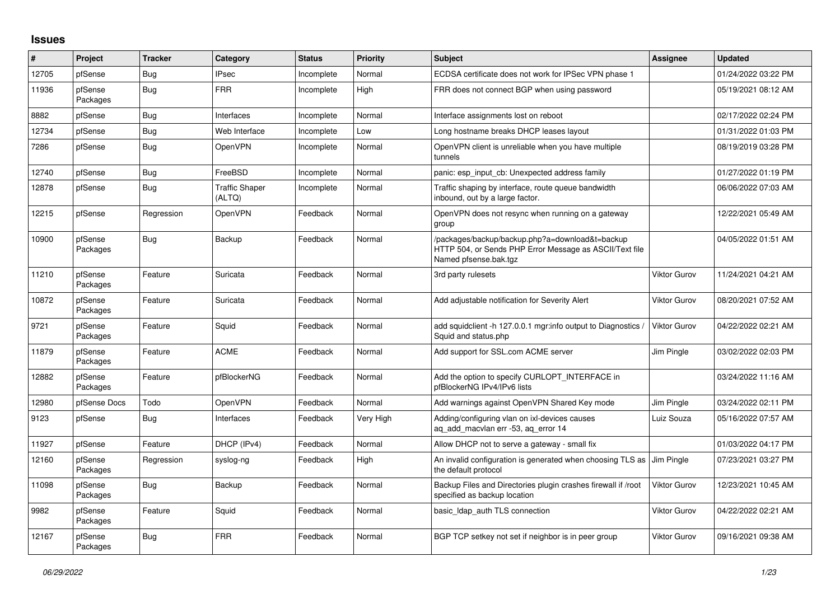## **Issues**

| ∦     | Project             | <b>Tracker</b> | Category                        | <b>Status</b> | <b>Priority</b> | <b>Subject</b>                                                                                                                      | Assignee            | <b>Updated</b>      |
|-------|---------------------|----------------|---------------------------------|---------------|-----------------|-------------------------------------------------------------------------------------------------------------------------------------|---------------------|---------------------|
| 12705 | pfSense             | Bug            | <b>IPsec</b>                    | Incomplete    | Normal          | ECDSA certificate does not work for IPSec VPN phase 1                                                                               |                     | 01/24/2022 03:22 PM |
| 11936 | pfSense<br>Packages | Bug            | <b>FRR</b>                      | Incomplete    | High            | FRR does not connect BGP when using password                                                                                        |                     | 05/19/2021 08:12 AM |
| 8882  | pfSense             | Bug            | Interfaces                      | Incomplete    | Normal          | Interface assignments lost on reboot                                                                                                |                     | 02/17/2022 02:24 PM |
| 12734 | pfSense             | Bug            | Web Interface                   | Incomplete    | Low             | Long hostname breaks DHCP leases layout                                                                                             |                     | 01/31/2022 01:03 PM |
| 7286  | pfSense             | <b>Bug</b>     | OpenVPN                         | Incomplete    | Normal          | OpenVPN client is unreliable when you have multiple<br>tunnels                                                                      |                     | 08/19/2019 03:28 PM |
| 12740 | pfSense             | Bug            | FreeBSD                         | Incomplete    | Normal          | panic: esp input cb: Unexpected address family                                                                                      |                     | 01/27/2022 01:19 PM |
| 12878 | pfSense             | Bug            | <b>Traffic Shaper</b><br>(ALTQ) | Incomplete    | Normal          | Traffic shaping by interface, route queue bandwidth<br>inbound, out by a large factor.                                              |                     | 06/06/2022 07:03 AM |
| 12215 | pfSense             | Regression     | OpenVPN                         | Feedback      | Normal          | OpenVPN does not resync when running on a gateway<br>group                                                                          |                     | 12/22/2021 05:49 AM |
| 10900 | pfSense<br>Packages | Bug            | Backup                          | Feedback      | Normal          | /packages/backup/backup.php?a=download&t=backup<br>HTTP 504, or Sends PHP Error Message as ASCII/Text file<br>Named pfsense.bak.tgz |                     | 04/05/2022 01:51 AM |
| 11210 | pfSense<br>Packages | Feature        | Suricata                        | Feedback      | Normal          | 3rd party rulesets                                                                                                                  | <b>Viktor Gurov</b> | 11/24/2021 04:21 AM |
| 10872 | pfSense<br>Packages | Feature        | Suricata                        | Feedback      | Normal          | Add adjustable notification for Severity Alert                                                                                      | <b>Viktor Gurov</b> | 08/20/2021 07:52 AM |
| 9721  | pfSense<br>Packages | Feature        | Squid                           | Feedback      | Normal          | add squidclient -h 127.0.0.1 mgr:info output to Diagnostics<br>Squid and status.php                                                 | <b>Viktor Gurov</b> | 04/22/2022 02:21 AM |
| 11879 | pfSense<br>Packages | Feature        | <b>ACME</b>                     | Feedback      | Normal          | Add support for SSL.com ACME server                                                                                                 | Jim Pingle          | 03/02/2022 02:03 PM |
| 12882 | pfSense<br>Packages | Feature        | pfBlockerNG                     | Feedback      | Normal          | Add the option to specify CURLOPT_INTERFACE in<br>pfBlockerNG IPv4/IPv6 lists                                                       |                     | 03/24/2022 11:16 AM |
| 12980 | pfSense Docs        | Todo           | OpenVPN                         | Feedback      | Normal          | Add warnings against OpenVPN Shared Key mode                                                                                        | Jim Pingle          | 03/24/2022 02:11 PM |
| 9123  | pfSense             | <b>Bug</b>     | Interfaces                      | Feedback      | Very High       | Adding/configuring vlan on ixl-devices causes<br>aq_add_macvlan err -53, aq_error 14                                                | Luiz Souza          | 05/16/2022 07:57 AM |
| 11927 | pfSense             | Feature        | DHCP (IPv4)                     | Feedback      | Normal          | Allow DHCP not to serve a gateway - small fix                                                                                       |                     | 01/03/2022 04:17 PM |
| 12160 | pfSense<br>Packages | Regression     | syslog-ng                       | Feedback      | High            | An invalid configuration is generated when choosing TLS as<br>the default protocol                                                  | Jim Pingle          | 07/23/2021 03:27 PM |
| 11098 | pfSense<br>Packages | Bug            | Backup                          | Feedback      | Normal          | Backup Files and Directories plugin crashes firewall if /root<br>specified as backup location                                       | <b>Viktor Gurov</b> | 12/23/2021 10:45 AM |
| 9982  | pfSense<br>Packages | Feature        | Squid                           | Feedback      | Normal          | basic Idap auth TLS connection                                                                                                      | <b>Viktor Gurov</b> | 04/22/2022 02:21 AM |
| 12167 | pfSense<br>Packages | Bug            | <b>FRR</b>                      | Feedback      | Normal          | BGP TCP setkey not set if neighbor is in peer group                                                                                 | <b>Viktor Gurov</b> | 09/16/2021 09:38 AM |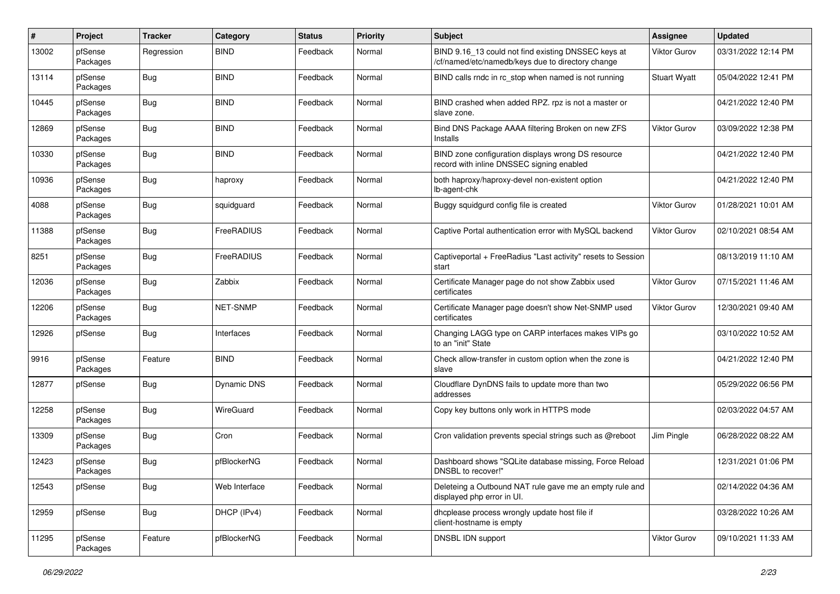| #     | Project             | <b>Tracker</b> | Category           | <b>Status</b> | <b>Priority</b> | <b>Subject</b>                                                                                           | Assignee            | <b>Updated</b>      |
|-------|---------------------|----------------|--------------------|---------------|-----------------|----------------------------------------------------------------------------------------------------------|---------------------|---------------------|
| 13002 | pfSense<br>Packages | Regression     | <b>BIND</b>        | Feedback      | Normal          | BIND 9.16_13 could not find existing DNSSEC keys at<br>/cf/named/etc/namedb/keys due to directory change | <b>Viktor Gurov</b> | 03/31/2022 12:14 PM |
| 13114 | pfSense<br>Packages | Bug            | <b>BIND</b>        | Feedback      | Normal          | BIND calls rndc in rc_stop when named is not running                                                     | <b>Stuart Wyatt</b> | 05/04/2022 12:41 PM |
| 10445 | pfSense<br>Packages | <b>Bug</b>     | <b>BIND</b>        | Feedback      | Normal          | BIND crashed when added RPZ. rpz is not a master or<br>slave zone.                                       |                     | 04/21/2022 12:40 PM |
| 12869 | pfSense<br>Packages | Bug            | <b>BIND</b>        | Feedback      | Normal          | Bind DNS Package AAAA filtering Broken on new ZFS<br>Installs                                            | Viktor Gurov        | 03/09/2022 12:38 PM |
| 10330 | pfSense<br>Packages | Bug            | <b>BIND</b>        | Feedback      | Normal          | BIND zone configuration displays wrong DS resource<br>record with inline DNSSEC signing enabled          |                     | 04/21/2022 12:40 PM |
| 10936 | pfSense<br>Packages | <b>Bug</b>     | haproxy            | Feedback      | Normal          | both haproxy/haproxy-devel non-existent option<br>lb-agent-chk                                           |                     | 04/21/2022 12:40 PM |
| 4088  | pfSense<br>Packages | Bug            | squidguard         | Feedback      | Normal          | Buggy squidgurd config file is created                                                                   | Viktor Gurov        | 01/28/2021 10:01 AM |
| 11388 | pfSense<br>Packages | <b>Bug</b>     | FreeRADIUS         | Feedback      | Normal          | Captive Portal authentication error with MySQL backend                                                   | <b>Viktor Gurov</b> | 02/10/2021 08:54 AM |
| 8251  | pfSense<br>Packages | Bug            | FreeRADIUS         | Feedback      | Normal          | Captiveportal + FreeRadius "Last activity" resets to Session<br>start                                    |                     | 08/13/2019 11:10 AM |
| 12036 | pfSense<br>Packages | <b>Bug</b>     | Zabbix             | Feedback      | Normal          | Certificate Manager page do not show Zabbix used<br>certificates                                         | <b>Viktor Gurov</b> | 07/15/2021 11:46 AM |
| 12206 | pfSense<br>Packages | Bug            | NET-SNMP           | Feedback      | Normal          | Certificate Manager page doesn't show Net-SNMP used<br>certificates                                      | <b>Viktor Gurov</b> | 12/30/2021 09:40 AM |
| 12926 | pfSense             | Bug            | Interfaces         | Feedback      | Normal          | Changing LAGG type on CARP interfaces makes VIPs go<br>to an "init" State                                |                     | 03/10/2022 10:52 AM |
| 9916  | pfSense<br>Packages | Feature        | <b>BIND</b>        | Feedback      | Normal          | Check allow-transfer in custom option when the zone is<br>slave                                          |                     | 04/21/2022 12:40 PM |
| 12877 | pfSense             | Bug            | <b>Dynamic DNS</b> | Feedback      | Normal          | Cloudflare DynDNS fails to update more than two<br>addresses                                             |                     | 05/29/2022 06:56 PM |
| 12258 | pfSense<br>Packages | Bug            | WireGuard          | Feedback      | Normal          | Copy key buttons only work in HTTPS mode                                                                 |                     | 02/03/2022 04:57 AM |
| 13309 | pfSense<br>Packages | Bug            | Cron               | Feedback      | Normal          | Cron validation prevents special strings such as @reboot                                                 | Jim Pingle          | 06/28/2022 08:22 AM |
| 12423 | pfSense<br>Packages | <b>Bug</b>     | pfBlockerNG        | Feedback      | Normal          | Dashboard shows "SQLite database missing, Force Reload<br>DNSBL to recover!"                             |                     | 12/31/2021 01:06 PM |
| 12543 | pfSense             | Bug            | Web Interface      | Feedback      | Normal          | Deleteing a Outbound NAT rule gave me an empty rule and<br>displayed php error in UI.                    |                     | 02/14/2022 04:36 AM |
| 12959 | pfSense             | Bug            | DHCP (IPv4)        | Feedback      | Normal          | dhcplease process wrongly update host file if<br>client-hostname is empty                                |                     | 03/28/2022 10:26 AM |
| 11295 | pfSense<br>Packages | Feature        | pfBlockerNG        | Feedback      | Normal          | DNSBL IDN support                                                                                        | Viktor Gurov        | 09/10/2021 11:33 AM |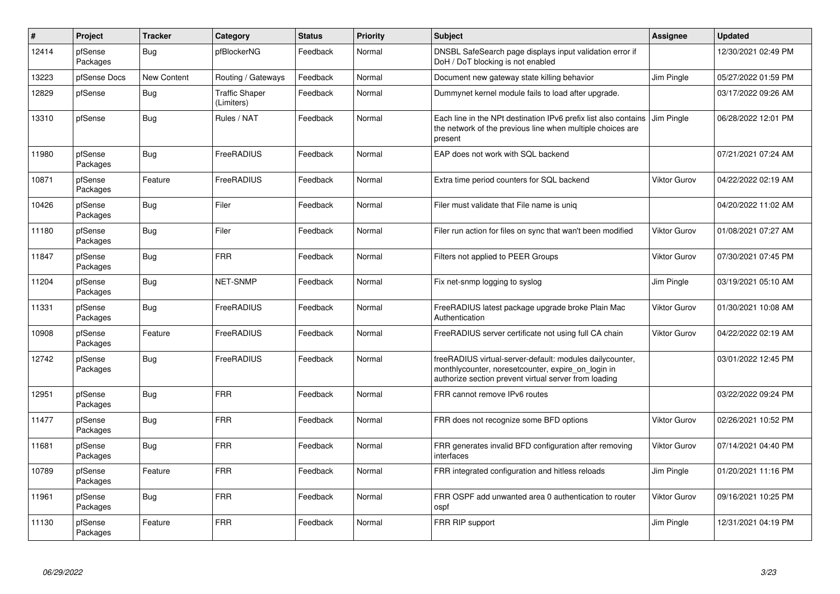| $\vert$ # | Project             | <b>Tracker</b> | Category                            | <b>Status</b> | <b>Priority</b> | <b>Subject</b>                                                                                                                                                           | Assignee            | <b>Updated</b>      |
|-----------|---------------------|----------------|-------------------------------------|---------------|-----------------|--------------------------------------------------------------------------------------------------------------------------------------------------------------------------|---------------------|---------------------|
| 12414     | pfSense<br>Packages | Bug            | pfBlockerNG                         | Feedback      | Normal          | DNSBL SafeSearch page displays input validation error if<br>DoH / DoT blocking is not enabled                                                                            |                     | 12/30/2021 02:49 PM |
| 13223     | pfSense Docs        | New Content    | Routing / Gateways                  | Feedback      | Normal          | Document new gateway state killing behavior                                                                                                                              | Jim Pingle          | 05/27/2022 01:59 PM |
| 12829     | pfSense             | Bug            | <b>Traffic Shaper</b><br>(Limiters) | Feedback      | Normal          | Dummynet kernel module fails to load after upgrade.                                                                                                                      |                     | 03/17/2022 09:26 AM |
| 13310     | pfSense             | Bug            | Rules / NAT                         | Feedback      | Normal          | Each line in the NPt destination IPv6 prefix list also contains<br>the network of the previous line when multiple choices are<br>present                                 | Jim Pingle          | 06/28/2022 12:01 PM |
| 11980     | pfSense<br>Packages | Bug            | FreeRADIUS                          | Feedback      | Normal          | EAP does not work with SQL backend                                                                                                                                       |                     | 07/21/2021 07:24 AM |
| 10871     | pfSense<br>Packages | Feature        | FreeRADIUS                          | Feedback      | Normal          | Extra time period counters for SQL backend                                                                                                                               | <b>Viktor Gurov</b> | 04/22/2022 02:19 AM |
| 10426     | pfSense<br>Packages | Bug            | Filer                               | Feedback      | Normal          | Filer must validate that File name is uniq                                                                                                                               |                     | 04/20/2022 11:02 AM |
| 11180     | pfSense<br>Packages | Bug            | Filer                               | Feedback      | Normal          | Filer run action for files on sync that wan't been modified                                                                                                              | Viktor Gurov        | 01/08/2021 07:27 AM |
| 11847     | pfSense<br>Packages | <b>Bug</b>     | <b>FRR</b>                          | Feedback      | Normal          | Filters not applied to PEER Groups                                                                                                                                       | <b>Viktor Gurov</b> | 07/30/2021 07:45 PM |
| 11204     | pfSense<br>Packages | Bug            | <b>NET-SNMP</b>                     | Feedback      | Normal          | Fix net-snmp logging to syslog                                                                                                                                           | Jim Pingle          | 03/19/2021 05:10 AM |
| 11331     | pfSense<br>Packages | Bug            | FreeRADIUS                          | Feedback      | Normal          | FreeRADIUS latest package upgrade broke Plain Mac<br>Authentication                                                                                                      | <b>Viktor Gurov</b> | 01/30/2021 10:08 AM |
| 10908     | pfSense<br>Packages | Feature        | FreeRADIUS                          | Feedback      | Normal          | FreeRADIUS server certificate not using full CA chain                                                                                                                    | <b>Viktor Gurov</b> | 04/22/2022 02:19 AM |
| 12742     | pfSense<br>Packages | <b>Bug</b>     | FreeRADIUS                          | Feedback      | Normal          | freeRADIUS virtual-server-default: modules dailycounter,<br>monthlycounter, noreset counter, expire on login in<br>authorize section prevent virtual server from loading |                     | 03/01/2022 12:45 PM |
| 12951     | pfSense<br>Packages | Bug            | <b>FRR</b>                          | Feedback      | Normal          | FRR cannot remove IPv6 routes                                                                                                                                            |                     | 03/22/2022 09:24 PM |
| 11477     | pfSense<br>Packages | Bug            | <b>FRR</b>                          | Feedback      | Normal          | FRR does not recognize some BFD options                                                                                                                                  | <b>Viktor Gurov</b> | 02/26/2021 10:52 PM |
| 11681     | pfSense<br>Packages | Bug            | <b>FRR</b>                          | Feedback      | Normal          | FRR generates invalid BFD configuration after removing<br>interfaces                                                                                                     | <b>Viktor Gurov</b> | 07/14/2021 04:40 PM |
| 10789     | pfSense<br>Packages | Feature        | <b>FRR</b>                          | Feedback      | Normal          | FRR integrated configuration and hitless reloads                                                                                                                         | Jim Pingle          | 01/20/2021 11:16 PM |
| 11961     | pfSense<br>Packages | <b>Bug</b>     | <b>FRR</b>                          | Feedback      | Normal          | FRR OSPF add unwanted area 0 authentication to router<br>ospf                                                                                                            | Viktor Gurov        | 09/16/2021 10:25 PM |
| 11130     | pfSense<br>Packages | Feature        | <b>FRR</b>                          | Feedback      | Normal          | FRR RIP support                                                                                                                                                          | Jim Pingle          | 12/31/2021 04:19 PM |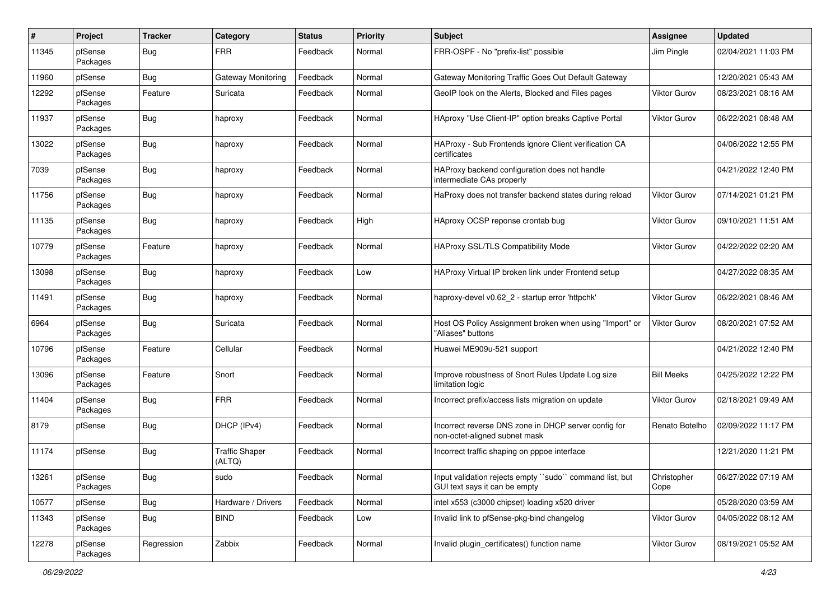| #     | Project             | <b>Tracker</b> | Category                        | <b>Status</b> | <b>Priority</b> | <b>Subject</b>                                                                           | Assignee            | <b>Updated</b>      |
|-------|---------------------|----------------|---------------------------------|---------------|-----------------|------------------------------------------------------------------------------------------|---------------------|---------------------|
| 11345 | pfSense<br>Packages | Bug            | <b>FRR</b>                      | Feedback      | Normal          | FRR-OSPF - No "prefix-list" possible                                                     | Jim Pingle          | 02/04/2021 11:03 PM |
| 11960 | pfSense             | Bug            | Gateway Monitoring              | Feedback      | Normal          | Gateway Monitoring Traffic Goes Out Default Gateway                                      |                     | 12/20/2021 05:43 AM |
| 12292 | pfSense<br>Packages | Feature        | Suricata                        | Feedback      | Normal          | GeoIP look on the Alerts, Blocked and Files pages                                        | <b>Viktor Gurov</b> | 08/23/2021 08:16 AM |
| 11937 | pfSense<br>Packages | Bug            | haproxy                         | Feedback      | Normal          | HAproxy "Use Client-IP" option breaks Captive Portal                                     | Viktor Gurov        | 06/22/2021 08:48 AM |
| 13022 | pfSense<br>Packages | <b>Bug</b>     | haproxy                         | Feedback      | Normal          | HAProxy - Sub Frontends ignore Client verification CA<br>certificates                    |                     | 04/06/2022 12:55 PM |
| 7039  | pfSense<br>Packages | Bug            | haproxy                         | Feedback      | Normal          | HAProxy backend configuration does not handle<br>intermediate CAs properly               |                     | 04/21/2022 12:40 PM |
| 11756 | pfSense<br>Packages | Bug            | haproxy                         | Feedback      | Normal          | HaProxy does not transfer backend states during reload                                   | <b>Viktor Gurov</b> | 07/14/2021 01:21 PM |
| 11135 | pfSense<br>Packages | Bug            | haproxy                         | Feedback      | High            | HAproxy OCSP reponse crontab bug                                                         | <b>Viktor Gurov</b> | 09/10/2021 11:51 AM |
| 10779 | pfSense<br>Packages | Feature        | haproxy                         | Feedback      | Normal          | HAProxy SSL/TLS Compatibility Mode                                                       | Viktor Gurov        | 04/22/2022 02:20 AM |
| 13098 | pfSense<br>Packages | Bug            | haproxy                         | Feedback      | Low             | HAProxy Virtual IP broken link under Frontend setup                                      |                     | 04/27/2022 08:35 AM |
| 11491 | pfSense<br>Packages | Bug            | haproxy                         | Feedback      | Normal          | haproxy-devel v0.62 2 - startup error 'httpchk'                                          | <b>Viktor Gurov</b> | 06/22/2021 08:46 AM |
| 6964  | pfSense<br>Packages | <b>Bug</b>     | Suricata                        | Feedback      | Normal          | Host OS Policy Assignment broken when using "Import" or<br>'Aliases" buttons             | <b>Viktor Gurov</b> | 08/20/2021 07:52 AM |
| 10796 | pfSense<br>Packages | Feature        | Cellular                        | Feedback      | Normal          | Huawei ME909u-521 support                                                                |                     | 04/21/2022 12:40 PM |
| 13096 | pfSense<br>Packages | Feature        | Snort                           | Feedback      | Normal          | Improve robustness of Snort Rules Update Log size<br>limitation logic                    | <b>Bill Meeks</b>   | 04/25/2022 12:22 PM |
| 11404 | pfSense<br>Packages | Bug            | <b>FRR</b>                      | Feedback      | Normal          | Incorrect prefix/access lists migration on update                                        | <b>Viktor Gurov</b> | 02/18/2021 09:49 AM |
| 8179  | pfSense             | <b>Bug</b>     | DHCP (IPv4)                     | Feedback      | Normal          | Incorrect reverse DNS zone in DHCP server config for<br>non-octet-aligned subnet mask    | Renato Botelho      | 02/09/2022 11:17 PM |
| 11174 | pfSense             | Bug            | <b>Traffic Shaper</b><br>(ALTQ) | Feedback      | Normal          | Incorrect traffic shaping on pppoe interface                                             |                     | 12/21/2020 11:21 PM |
| 13261 | pfSense<br>Packages | <b>Bug</b>     | sudo                            | Feedback      | Normal          | Input validation rejects empty "sudo" command list, but<br>GUI text says it can be empty | Christopher<br>Cope | 06/27/2022 07:19 AM |
| 10577 | pfSense             | Bug            | Hardware / Drivers              | Feedback      | Normal          | intel x553 (c3000 chipset) loading x520 driver                                           |                     | 05/28/2020 03:59 AM |
| 11343 | pfSense<br>Packages | Bug            | <b>BIND</b>                     | Feedback      | Low             | Invalid link to pfSense-pkg-bind changelog                                               | Viktor Gurov        | 04/05/2022 08:12 AM |
| 12278 | pfSense<br>Packages | Regression     | Zabbix                          | Feedback      | Normal          | Invalid plugin_certificates() function name                                              | Viktor Gurov        | 08/19/2021 05:52 AM |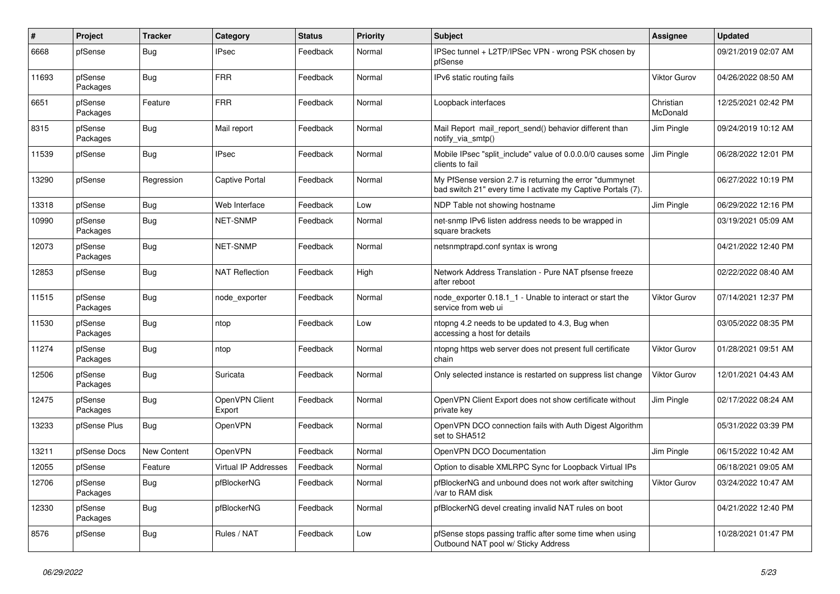| #     | Project             | <b>Tracker</b> | Category                    | <b>Status</b> | Priority | <b>Subject</b>                                                                                                           | Assignee                     | <b>Updated</b>      |
|-------|---------------------|----------------|-----------------------------|---------------|----------|--------------------------------------------------------------------------------------------------------------------------|------------------------------|---------------------|
| 6668  | pfSense             | Bug            | <b>IPsec</b>                | Feedback      | Normal   | IPSec tunnel + L2TP/IPSec VPN - wrong PSK chosen by<br>pfSense                                                           |                              | 09/21/2019 02:07 AM |
| 11693 | pfSense<br>Packages | <b>Bug</b>     | <b>FRR</b>                  | Feedback      | Normal   | IPv6 static routing fails                                                                                                | <b>Viktor Gurov</b>          | 04/26/2022 08:50 AM |
| 6651  | pfSense<br>Packages | Feature        | <b>FRR</b>                  | Feedback      | Normal   | Loopback interfaces                                                                                                      | Christian<br><b>McDonald</b> | 12/25/2021 02:42 PM |
| 8315  | pfSense<br>Packages | Bug            | Mail report                 | Feedback      | Normal   | Mail Report mail report send() behavior different than<br>notify_via_smtp()                                              | Jim Pingle                   | 09/24/2019 10:12 AM |
| 11539 | pfSense             | Bug            | <b>IPsec</b>                | Feedback      | Normal   | Mobile IPsec "split include" value of 0.0.0.0/0 causes some<br>clients to fail                                           | Jim Pingle                   | 06/28/2022 12:01 PM |
| 13290 | pfSense             | Regression     | <b>Captive Portal</b>       | Feedback      | Normal   | My PfSense version 2.7 is returning the error "dummynet"<br>bad switch 21" every time I activate my Captive Portals (7). |                              | 06/27/2022 10:19 PM |
| 13318 | pfSense             | <b>Bug</b>     | Web Interface               | Feedback      | Low      | NDP Table not showing hostname                                                                                           | Jim Pingle                   | 06/29/2022 12:16 PM |
| 10990 | pfSense<br>Packages | Bug            | NET-SNMP                    | Feedback      | Normal   | net-snmp IPv6 listen address needs to be wrapped in<br>square brackets                                                   |                              | 03/19/2021 05:09 AM |
| 12073 | pfSense<br>Packages | Bug            | <b>NET-SNMP</b>             | Feedback      | Normal   | netsnmptrapd.conf syntax is wrong                                                                                        |                              | 04/21/2022 12:40 PM |
| 12853 | pfSense             | Bug            | <b>NAT Reflection</b>       | Feedback      | High     | Network Address Translation - Pure NAT pfsense freeze<br>after reboot                                                    |                              | 02/22/2022 08:40 AM |
| 11515 | pfSense<br>Packages | <b>Bug</b>     | node_exporter               | Feedback      | Normal   | node_exporter 0.18.1_1 - Unable to interact or start the<br>service from web ui                                          | <b>Viktor Gurov</b>          | 07/14/2021 12:37 PM |
| 11530 | pfSense<br>Packages | Bug            | ntop                        | Feedback      | Low      | ntopng 4.2 needs to be updated to 4.3, Bug when<br>accessing a host for details                                          |                              | 03/05/2022 08:35 PM |
| 11274 | pfSense<br>Packages | Bug            | ntop                        | Feedback      | Normal   | ntopng https web server does not present full certificate<br>chain                                                       | <b>Viktor Gurov</b>          | 01/28/2021 09:51 AM |
| 12506 | pfSense<br>Packages | <b>Bug</b>     | Suricata                    | Feedback      | Normal   | Only selected instance is restarted on suppress list change                                                              | <b>Viktor Gurov</b>          | 12/01/2021 04:43 AM |
| 12475 | pfSense<br>Packages | Bug            | OpenVPN Client<br>Export    | Feedback      | Normal   | OpenVPN Client Export does not show certificate without<br>private key                                                   | Jim Pingle                   | 02/17/2022 08:24 AM |
| 13233 | pfSense Plus        | Bug            | OpenVPN                     | Feedback      | Normal   | OpenVPN DCO connection fails with Auth Digest Algorithm<br>set to SHA512                                                 |                              | 05/31/2022 03:39 PM |
| 13211 | pfSense Docs        | New Content    | OpenVPN                     | Feedback      | Normal   | OpenVPN DCO Documentation                                                                                                | Jim Pingle                   | 06/15/2022 10:42 AM |
| 12055 | pfSense             | Feature        | <b>Virtual IP Addresses</b> | Feedback      | Normal   | Option to disable XMLRPC Sync for Loopback Virtual IPs                                                                   |                              | 06/18/2021 09:05 AM |
| 12706 | pfSense<br>Packages | <b>Bug</b>     | pfBlockerNG                 | Feedback      | Normal   | pfBlockerNG and unbound does not work after switching<br>/var to RAM disk                                                | <b>Viktor Gurov</b>          | 03/24/2022 10:47 AM |
| 12330 | pfSense<br>Packages | Bug            | pfBlockerNG                 | Feedback      | Normal   | pfBlockerNG devel creating invalid NAT rules on boot                                                                     |                              | 04/21/2022 12:40 PM |
| 8576  | pfSense             | Bug            | Rules / NAT                 | Feedback      | Low      | pfSense stops passing traffic after some time when using<br>Outbound NAT pool w/ Sticky Address                          |                              | 10/28/2021 01:47 PM |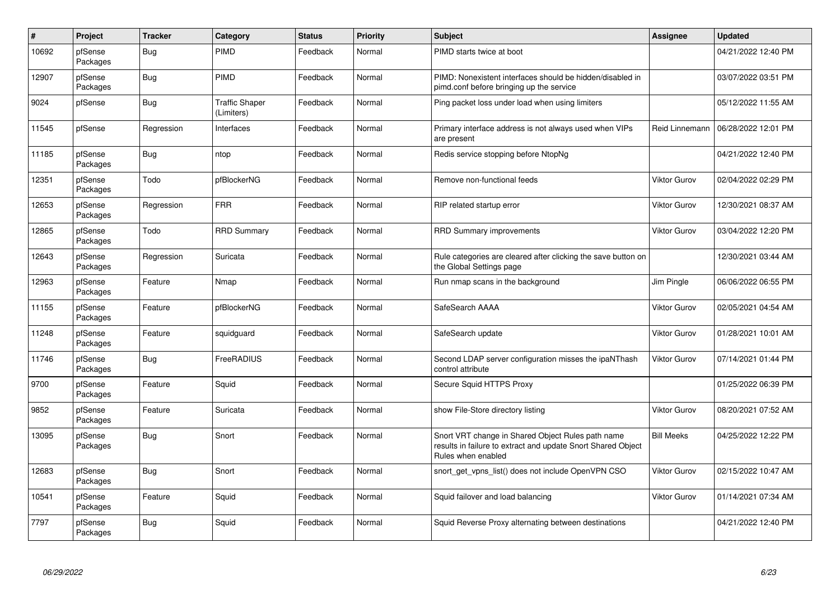| $\vert$ # | Project             | <b>Tracker</b> | Category                            | <b>Status</b> | <b>Priority</b> | <b>Subject</b>                                                                                                                          | Assignee            | <b>Updated</b>      |
|-----------|---------------------|----------------|-------------------------------------|---------------|-----------------|-----------------------------------------------------------------------------------------------------------------------------------------|---------------------|---------------------|
| 10692     | pfSense<br>Packages | Bug            | PIMD                                | Feedback      | Normal          | PIMD starts twice at boot                                                                                                               |                     | 04/21/2022 12:40 PM |
| 12907     | pfSense<br>Packages | Bug            | PIMD                                | Feedback      | Normal          | PIMD: Nonexistent interfaces should be hidden/disabled in<br>pimd.conf before bringing up the service                                   |                     | 03/07/2022 03:51 PM |
| 9024      | pfSense             | <b>Bug</b>     | <b>Traffic Shaper</b><br>(Limiters) | Feedback      | Normal          | Ping packet loss under load when using limiters                                                                                         |                     | 05/12/2022 11:55 AM |
| 11545     | pfSense             | Regression     | Interfaces                          | Feedback      | Normal          | Primary interface address is not always used when VIPs<br>are present                                                                   | Reid Linnemann      | 06/28/2022 12:01 PM |
| 11185     | pfSense<br>Packages | Bug            | ntop                                | Feedback      | Normal          | Redis service stopping before NtopNg                                                                                                    |                     | 04/21/2022 12:40 PM |
| 12351     | pfSense<br>Packages | Todo           | pfBlockerNG                         | Feedback      | Normal          | Remove non-functional feeds                                                                                                             | <b>Viktor Gurov</b> | 02/04/2022 02:29 PM |
| 12653     | pfSense<br>Packages | Regression     | <b>FRR</b>                          | Feedback      | Normal          | RIP related startup error                                                                                                               | <b>Viktor Gurov</b> | 12/30/2021 08:37 AM |
| 12865     | pfSense<br>Packages | Todo           | <b>RRD Summary</b>                  | Feedback      | Normal          | <b>RRD Summary improvements</b>                                                                                                         | <b>Viktor Gurov</b> | 03/04/2022 12:20 PM |
| 12643     | pfSense<br>Packages | Regression     | Suricata                            | Feedback      | Normal          | Rule categories are cleared after clicking the save button on<br>the Global Settings page                                               |                     | 12/30/2021 03:44 AM |
| 12963     | pfSense<br>Packages | Feature        | Nmap                                | Feedback      | Normal          | Run nmap scans in the background                                                                                                        | Jim Pingle          | 06/06/2022 06:55 PM |
| 11155     | pfSense<br>Packages | Feature        | pfBlockerNG                         | Feedback      | Normal          | SafeSearch AAAA                                                                                                                         | <b>Viktor Gurov</b> | 02/05/2021 04:54 AM |
| 11248     | pfSense<br>Packages | Feature        | squidguard                          | Feedback      | Normal          | SafeSearch update                                                                                                                       | Viktor Gurov        | 01/28/2021 10:01 AM |
| 11746     | pfSense<br>Packages | <b>Bug</b>     | FreeRADIUS                          | Feedback      | Normal          | Second LDAP server configuration misses the ipaNThash<br>control attribute                                                              | <b>Viktor Gurov</b> | 07/14/2021 01:44 PM |
| 9700      | pfSense<br>Packages | Feature        | Squid                               | Feedback      | Normal          | Secure Squid HTTPS Proxy                                                                                                                |                     | 01/25/2022 06:39 PM |
| 9852      | pfSense<br>Packages | Feature        | Suricata                            | Feedback      | Normal          | show File-Store directory listing                                                                                                       | <b>Viktor Gurov</b> | 08/20/2021 07:52 AM |
| 13095     | pfSense<br>Packages | <b>Bug</b>     | Snort                               | Feedback      | Normal          | Snort VRT change in Shared Object Rules path name<br>results in failure to extract and update Snort Shared Object<br>Rules when enabled | <b>Bill Meeks</b>   | 04/25/2022 12:22 PM |
| 12683     | pfSense<br>Packages | <b>Bug</b>     | Snort                               | Feedback      | Normal          | snort_get_vpns_list() does not include OpenVPN CSO                                                                                      | <b>Viktor Gurov</b> | 02/15/2022 10:47 AM |
| 10541     | pfSense<br>Packages | Feature        | Squid                               | Feedback      | Normal          | Squid failover and load balancing                                                                                                       | <b>Viktor Gurov</b> | 01/14/2021 07:34 AM |
| 7797      | pfSense<br>Packages | <b>Bug</b>     | Squid                               | Feedback      | Normal          | Squid Reverse Proxy alternating between destinations                                                                                    |                     | 04/21/2022 12:40 PM |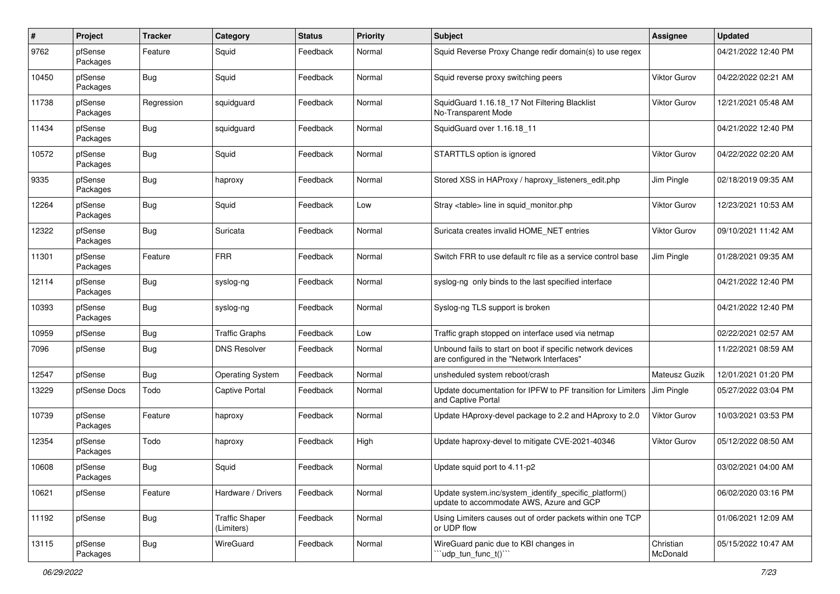| #     | <b>Project</b>      | <b>Tracker</b> | Category                            | <b>Status</b> | <b>Priority</b> | <b>Subject</b>                                                                                           | Assignee              | <b>Updated</b>      |
|-------|---------------------|----------------|-------------------------------------|---------------|-----------------|----------------------------------------------------------------------------------------------------------|-----------------------|---------------------|
| 9762  | pfSense<br>Packages | Feature        | Squid                               | Feedback      | Normal          | Squid Reverse Proxy Change redir domain(s) to use regex                                                  |                       | 04/21/2022 12:40 PM |
| 10450 | pfSense<br>Packages | Bug            | Squid                               | Feedback      | Normal          | Squid reverse proxy switching peers                                                                      | Viktor Gurov          | 04/22/2022 02:21 AM |
| 11738 | pfSense<br>Packages | Regression     | squidguard                          | Feedback      | Normal          | SquidGuard 1.16.18_17 Not Filtering Blacklist<br>No-Transparent Mode                                     | Viktor Gurov          | 12/21/2021 05:48 AM |
| 11434 | pfSense<br>Packages | Bug            | squidguard                          | Feedback      | Normal          | SquidGuard over 1.16.18 11                                                                               |                       | 04/21/2022 12:40 PM |
| 10572 | pfSense<br>Packages | Bug            | Squid                               | Feedback      | Normal          | STARTTLS option is ignored                                                                               | <b>Viktor Gurov</b>   | 04/22/2022 02:20 AM |
| 9335  | pfSense<br>Packages | <b>Bug</b>     | haproxy                             | Feedback      | Normal          | Stored XSS in HAProxy / haproxy listeners edit.php                                                       | Jim Pingle            | 02/18/2019 09:35 AM |
| 12264 | pfSense<br>Packages | Bug            | Squid                               | Feedback      | Low             | Stray <table> line in squid_monitor.php</table>                                                          | <b>Viktor Gurov</b>   | 12/23/2021 10:53 AM |
| 12322 | pfSense<br>Packages | <b>Bug</b>     | Suricata                            | Feedback      | Normal          | Suricata creates invalid HOME_NET entries                                                                | <b>Viktor Gurov</b>   | 09/10/2021 11:42 AM |
| 11301 | pfSense<br>Packages | Feature        | <b>FRR</b>                          | Feedback      | Normal          | Switch FRR to use default rc file as a service control base                                              | Jim Pingle            | 01/28/2021 09:35 AM |
| 12114 | pfSense<br>Packages | Bug            | syslog-ng                           | Feedback      | Normal          | syslog-ng only binds to the last specified interface                                                     |                       | 04/21/2022 12:40 PM |
| 10393 | pfSense<br>Packages | Bug            | syslog-ng                           | Feedback      | Normal          | Syslog-ng TLS support is broken                                                                          |                       | 04/21/2022 12:40 PM |
| 10959 | pfSense             | Bug            | <b>Traffic Graphs</b>               | Feedback      | Low             | Traffic graph stopped on interface used via netmap                                                       |                       | 02/22/2021 02:57 AM |
| 7096  | pfSense             | Bug            | <b>DNS Resolver</b>                 | Feedback      | Normal          | Unbound fails to start on boot if specific network devices<br>are configured in the "Network Interfaces" |                       | 11/22/2021 08:59 AM |
| 12547 | pfSense             | Bug            | <b>Operating System</b>             | Feedback      | Normal          | unsheduled system reboot/crash                                                                           | Mateusz Guzik         | 12/01/2021 01:20 PM |
| 13229 | pfSense Docs        | Todo           | <b>Captive Portal</b>               | Feedback      | Normal          | Update documentation for IPFW to PF transition for Limiters<br>and Captive Portal                        | Jim Pingle            | 05/27/2022 03:04 PM |
| 10739 | pfSense<br>Packages | Feature        | haproxy                             | Feedback      | Normal          | Update HAproxy-devel package to 2.2 and HAproxy to 2.0                                                   | <b>Viktor Gurov</b>   | 10/03/2021 03:53 PM |
| 12354 | pfSense<br>Packages | Todo           | haproxy                             | Feedback      | High            | Update haproxy-devel to mitigate CVE-2021-40346                                                          | <b>Viktor Gurov</b>   | 05/12/2022 08:50 AM |
| 10608 | pfSense<br>Packages | Bug            | Squid                               | Feedback      | Normal          | Update squid port to 4.11-p2                                                                             |                       | 03/02/2021 04:00 AM |
| 10621 | pfSense             | Feature        | Hardware / Drivers                  | Feedback      | Normal          | Update system.inc/system_identify_specific_platform()<br>update to accommodate AWS, Azure and GCP        |                       | 06/02/2020 03:16 PM |
| 11192 | pfSense             | <b>Bug</b>     | <b>Traffic Shaper</b><br>(Limiters) | Feedback      | Normal          | Using Limiters causes out of order packets within one TCP<br>or UDP flow                                 |                       | 01/06/2021 12:09 AM |
| 13115 | pfSense<br>Packages | <b>Bug</b>     | WireGuard                           | Feedback      | Normal          | WireGuard panic due to KBI changes in<br>'udp_tun_func_t()'"                                             | Christian<br>McDonald | 05/15/2022 10:47 AM |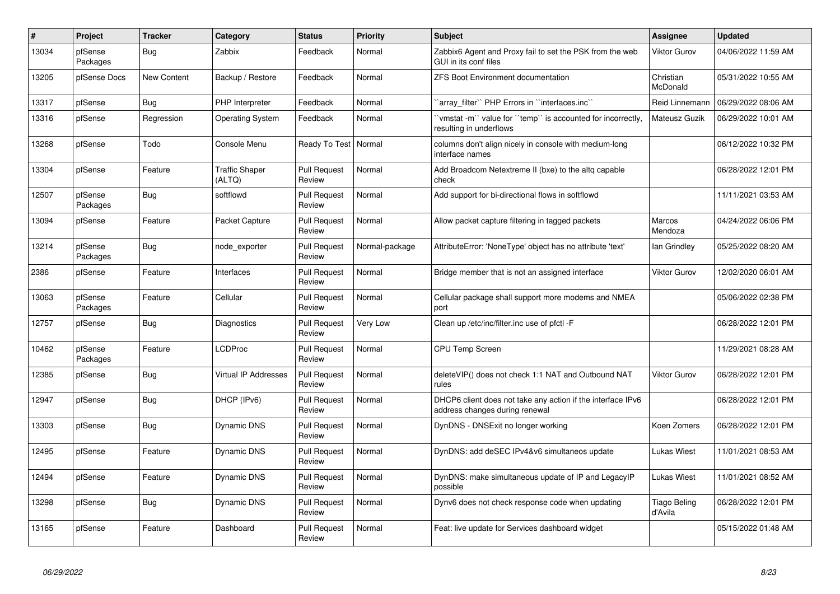| $\vert$ # | Project             | <b>Tracker</b> | Category                        | <b>Status</b>                 | <b>Priority</b> | <b>Subject</b>                                                                                | Assignee                | <b>Updated</b>      |
|-----------|---------------------|----------------|---------------------------------|-------------------------------|-----------------|-----------------------------------------------------------------------------------------------|-------------------------|---------------------|
| 13034     | pfSense<br>Packages | Bug            | Zabbix                          | Feedback                      | Normal          | Zabbix6 Agent and Proxy fail to set the PSK from the web<br>GUI in its conf files             | <b>Viktor Gurov</b>     | 04/06/2022 11:59 AM |
| 13205     | pfSense Docs        | New Content    | Backup / Restore                | Feedback                      | Normal          | <b>ZFS Boot Environment documentation</b>                                                     | Christian<br>McDonald   | 05/31/2022 10:55 AM |
| 13317     | pfSense             | Bug            | PHP Interpreter                 | Feedback                      | Normal          | 'array_filter'' PHP Errors in "interfaces.inc"                                                | Reid Linnemann          | 06/29/2022 08:06 AM |
| 13316     | pfSense             | Regression     | <b>Operating System</b>         | Feedback                      | Normal          | 'vmstat -m'' value for ''temp'' is accounted for incorrectly,<br>resulting in underflows      | Mateusz Guzik           | 06/29/2022 10:01 AM |
| 13268     | pfSense             | Todo           | Console Menu                    | Ready To Test   Normal        |                 | columns don't align nicely in console with medium-long<br>interface names                     |                         | 06/12/2022 10:32 PM |
| 13304     | pfSense             | Feature        | <b>Traffic Shaper</b><br>(ALTQ) | <b>Pull Request</b><br>Review | Normal          | Add Broadcom Netextreme II (bxe) to the altg capable<br>check                                 |                         | 06/28/2022 12:01 PM |
| 12507     | pfSense<br>Packages | Bug            | softflowd                       | <b>Pull Request</b><br>Review | Normal          | Add support for bi-directional flows in softflowd                                             |                         | 11/11/2021 03:53 AM |
| 13094     | pfSense             | Feature        | Packet Capture                  | <b>Pull Request</b><br>Review | Normal          | Allow packet capture filtering in tagged packets                                              | Marcos<br>Mendoza       | 04/24/2022 06:06 PM |
| 13214     | pfSense<br>Packages | Bug            | node exporter                   | <b>Pull Request</b><br>Review | Normal-package  | AttributeError: 'NoneType' object has no attribute 'text'                                     | lan Grindley            | 05/25/2022 08:20 AM |
| 2386      | pfSense             | Feature        | Interfaces                      | <b>Pull Request</b><br>Review | Normal          | Bridge member that is not an assigned interface                                               | <b>Viktor Gurov</b>     | 12/02/2020 06:01 AM |
| 13063     | pfSense<br>Packages | Feature        | Cellular                        | <b>Pull Request</b><br>Review | Normal          | Cellular package shall support more modems and NMEA<br>port                                   |                         | 05/06/2022 02:38 PM |
| 12757     | pfSense             | <b>Bug</b>     | Diagnostics                     | <b>Pull Request</b><br>Review | Very Low        | Clean up /etc/inc/filter.inc use of pfctl -F                                                  |                         | 06/28/2022 12:01 PM |
| 10462     | pfSense<br>Packages | Feature        | LCDProc                         | <b>Pull Request</b><br>Review | Normal          | CPU Temp Screen                                                                               |                         | 11/29/2021 08:28 AM |
| 12385     | pfSense             | Bug            | <b>Virtual IP Addresses</b>     | <b>Pull Request</b><br>Review | Normal          | deleteVIP() does not check 1:1 NAT and Outbound NAT<br>rules                                  | <b>Viktor Gurov</b>     | 06/28/2022 12:01 PM |
| 12947     | pfSense             | <b>Bug</b>     | DHCP (IPv6)                     | <b>Pull Request</b><br>Review | Normal          | DHCP6 client does not take any action if the interface IPv6<br>address changes during renewal |                         | 06/28/2022 12:01 PM |
| 13303     | pfSense             | Bug            | Dynamic DNS                     | <b>Pull Request</b><br>Review | Normal          | DynDNS - DNSExit no longer working                                                            | Koen Zomers             | 06/28/2022 12:01 PM |
| 12495     | pfSense             | Feature        | <b>Dynamic DNS</b>              | <b>Pull Request</b><br>Review | Normal          | DynDNS: add deSEC IPv4&v6 simultaneos update                                                  | Lukas Wiest             | 11/01/2021 08:53 AM |
| 12494     | pfSense             | Feature        | <b>Dynamic DNS</b>              | <b>Pull Request</b><br>Review | Normal          | DynDNS: make simultaneous update of IP and LegacyIP<br>possible                               | Lukas Wiest             | 11/01/2021 08:52 AM |
| 13298     | pfSense             | Bug            | Dynamic DNS                     | <b>Pull Request</b><br>Review | Normal          | Dynv6 does not check response code when updating                                              | Tiago Beling<br>d'Avila | 06/28/2022 12:01 PM |
| 13165     | pfSense             | Feature        | Dashboard                       | <b>Pull Request</b><br>Review | Normal          | Feat: live update for Services dashboard widget                                               |                         | 05/15/2022 01:48 AM |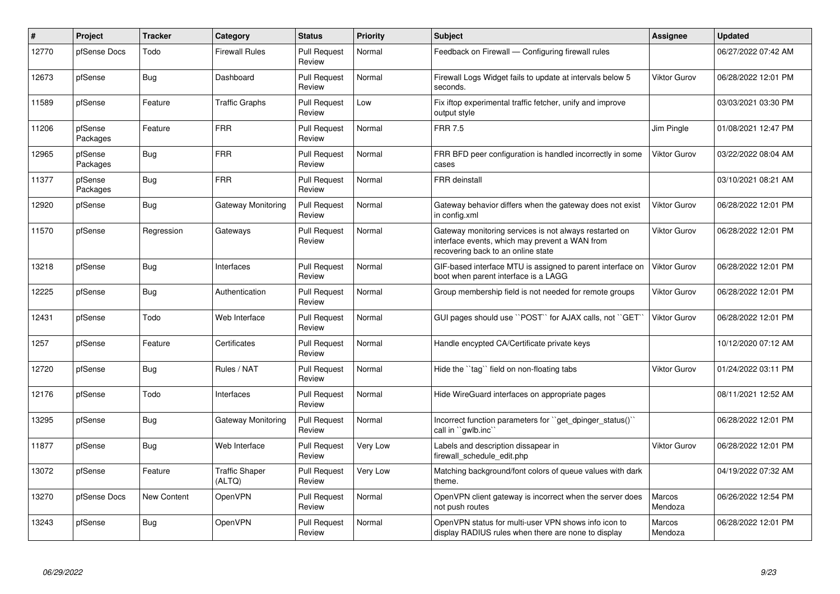| $\#$  | <b>Project</b>      | <b>Tracker</b> | Category                        | <b>Status</b>                 | <b>Priority</b> | <b>Subject</b>                                                                                                                                 | Assignee            | <b>Updated</b>      |
|-------|---------------------|----------------|---------------------------------|-------------------------------|-----------------|------------------------------------------------------------------------------------------------------------------------------------------------|---------------------|---------------------|
| 12770 | pfSense Docs        | Todo           | <b>Firewall Rules</b>           | <b>Pull Request</b><br>Review | Normal          | Feedback on Firewall - Configuring firewall rules                                                                                              |                     | 06/27/2022 07:42 AM |
| 12673 | pfSense             | Bug            | Dashboard                       | <b>Pull Request</b><br>Review | Normal          | Firewall Logs Widget fails to update at intervals below 5<br>seconds.                                                                          | <b>Viktor Gurov</b> | 06/28/2022 12:01 PM |
| 11589 | pfSense             | Feature        | <b>Traffic Graphs</b>           | <b>Pull Request</b><br>Review | Low             | Fix iftop experimental traffic fetcher, unify and improve<br>output style                                                                      |                     | 03/03/2021 03:30 PM |
| 11206 | pfSense<br>Packages | Feature        | <b>FRR</b>                      | <b>Pull Request</b><br>Review | Normal          | <b>FRR 7.5</b>                                                                                                                                 | Jim Pingle          | 01/08/2021 12:47 PM |
| 12965 | pfSense<br>Packages | Bug            | <b>FRR</b>                      | <b>Pull Request</b><br>Review | Normal          | FRR BFD peer configuration is handled incorrectly in some<br>cases                                                                             | <b>Viktor Gurov</b> | 03/22/2022 08:04 AM |
| 11377 | pfSense<br>Packages | <b>Bug</b>     | <b>FRR</b>                      | <b>Pull Request</b><br>Review | Normal          | <b>FRR</b> deinstall                                                                                                                           |                     | 03/10/2021 08:21 AM |
| 12920 | pfSense             | Bug            | Gateway Monitoring              | <b>Pull Request</b><br>Review | Normal          | Gateway behavior differs when the gateway does not exist<br>in config.xml                                                                      | <b>Viktor Gurov</b> | 06/28/2022 12:01 PM |
| 11570 | pfSense             | Regression     | Gateways                        | <b>Pull Request</b><br>Review | Normal          | Gateway monitoring services is not always restarted on<br>interface events, which may prevent a WAN from<br>recovering back to an online state | <b>Viktor Gurov</b> | 06/28/2022 12:01 PM |
| 13218 | pfSense             | Bug            | Interfaces                      | <b>Pull Request</b><br>Review | Normal          | GIF-based interface MTU is assigned to parent interface on<br>boot when parent interface is a LAGG                                             | <b>Viktor Gurov</b> | 06/28/2022 12:01 PM |
| 12225 | pfSense             | Bug            | Authentication                  | <b>Pull Request</b><br>Review | Normal          | Group membership field is not needed for remote groups                                                                                         | <b>Viktor Gurov</b> | 06/28/2022 12:01 PM |
| 12431 | pfSense             | Todo           | Web Interface                   | <b>Pull Request</b><br>Review | Normal          | GUI pages should use "POST" for AJAX calls, not "GET                                                                                           | <b>Viktor Gurov</b> | 06/28/2022 12:01 PM |
| 1257  | pfSense             | Feature        | Certificates                    | <b>Pull Request</b><br>Review | Normal          | Handle encypted CA/Certificate private keys                                                                                                    |                     | 10/12/2020 07:12 AM |
| 12720 | pfSense             | Bug            | Rules / NAT                     | <b>Pull Request</b><br>Review | Normal          | Hide the "tag" field on non-floating tabs                                                                                                      | <b>Viktor Gurov</b> | 01/24/2022 03:11 PM |
| 12176 | pfSense             | Todo           | Interfaces                      | <b>Pull Request</b><br>Review | Normal          | Hide WireGuard interfaces on appropriate pages                                                                                                 |                     | 08/11/2021 12:52 AM |
| 13295 | pfSense             | Bug            | Gateway Monitoring              | <b>Pull Request</b><br>Review | Normal          | Incorrect function parameters for "get dpinger status()"<br>call in "qwlb.inc"                                                                 |                     | 06/28/2022 12:01 PM |
| 11877 | pfSense             | Bug            | Web Interface                   | <b>Pull Request</b><br>Review | Very Low        | Labels and description dissapear in<br>firewall schedule edit.php                                                                              | <b>Viktor Gurov</b> | 06/28/2022 12:01 PM |
| 13072 | pfSense             | Feature        | <b>Traffic Shaper</b><br>(ALTQ) | <b>Pull Request</b><br>Review | Very Low        | Matching background/font colors of queue values with dark<br>theme.                                                                            |                     | 04/19/2022 07:32 AM |
| 13270 | pfSense Docs        | New Content    | <b>OpenVPN</b>                  | <b>Pull Request</b><br>Review | Normal          | OpenVPN client gateway is incorrect when the server does<br>not push routes                                                                    | Marcos<br>Mendoza   | 06/26/2022 12:54 PM |
| 13243 | pfSense             | Bug            | <b>OpenVPN</b>                  | <b>Pull Request</b><br>Review | Normal          | OpenVPN status for multi-user VPN shows info icon to<br>display RADIUS rules when there are none to display                                    | Marcos<br>Mendoza   | 06/28/2022 12:01 PM |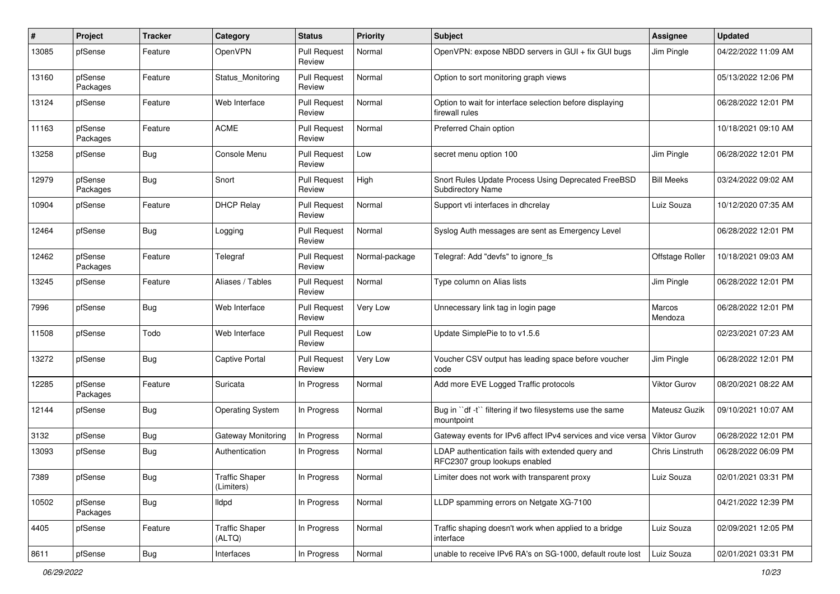| #     | Project             | <b>Tracker</b> | Category                            | <b>Status</b>                 | <b>Priority</b> | <b>Subject</b>                                                                     | Assignee            | <b>Updated</b>      |
|-------|---------------------|----------------|-------------------------------------|-------------------------------|-----------------|------------------------------------------------------------------------------------|---------------------|---------------------|
| 13085 | pfSense             | Feature        | OpenVPN                             | <b>Pull Request</b><br>Review | Normal          | OpenVPN: expose NBDD servers in GUI + fix GUI bugs                                 | Jim Pingle          | 04/22/2022 11:09 AM |
| 13160 | pfSense<br>Packages | Feature        | Status Monitoring                   | <b>Pull Request</b><br>Review | Normal          | Option to sort monitoring graph views                                              |                     | 05/13/2022 12:06 PM |
| 13124 | pfSense             | Feature        | Web Interface                       | <b>Pull Request</b><br>Review | Normal          | Option to wait for interface selection before displaying<br>firewall rules         |                     | 06/28/2022 12:01 PM |
| 11163 | pfSense<br>Packages | Feature        | <b>ACME</b>                         | <b>Pull Request</b><br>Review | Normal          | Preferred Chain option                                                             |                     | 10/18/2021 09:10 AM |
| 13258 | pfSense             | Bug            | Console Menu                        | <b>Pull Request</b><br>Review | Low             | secret menu option 100                                                             | Jim Pingle          | 06/28/2022 12:01 PM |
| 12979 | pfSense<br>Packages | Bug            | Snort                               | <b>Pull Request</b><br>Review | High            | Snort Rules Update Process Using Deprecated FreeBSD<br><b>Subdirectory Name</b>    | <b>Bill Meeks</b>   | 03/24/2022 09:02 AM |
| 10904 | pfSense             | Feature        | <b>DHCP Relay</b>                   | <b>Pull Request</b><br>Review | Normal          | Support vti interfaces in dhcrelay                                                 | Luiz Souza          | 10/12/2020 07:35 AM |
| 12464 | pfSense             | Bug            | Logging                             | <b>Pull Request</b><br>Review | Normal          | Syslog Auth messages are sent as Emergency Level                                   |                     | 06/28/2022 12:01 PM |
| 12462 | pfSense<br>Packages | Feature        | Telegraf                            | <b>Pull Request</b><br>Review | Normal-package  | Telegraf: Add "devfs" to ignore fs                                                 | Offstage Roller     | 10/18/2021 09:03 AM |
| 13245 | pfSense             | Feature        | Aliases / Tables                    | <b>Pull Request</b><br>Review | Normal          | Type column on Alias lists                                                         | Jim Pingle          | 06/28/2022 12:01 PM |
| 7996  | pfSense             | <b>Bug</b>     | Web Interface                       | <b>Pull Request</b><br>Review | Very Low        | Unnecessary link tag in login page                                                 | Marcos<br>Mendoza   | 06/28/2022 12:01 PM |
| 11508 | pfSense             | Todo           | Web Interface                       | <b>Pull Request</b><br>Review | Low             | Update SimplePie to to v1.5.6                                                      |                     | 02/23/2021 07:23 AM |
| 13272 | pfSense             | Bug            | <b>Captive Portal</b>               | <b>Pull Request</b><br>Review | Very Low        | Voucher CSV output has leading space before voucher<br>code                        | Jim Pingle          | 06/28/2022 12:01 PM |
| 12285 | pfSense<br>Packages | Feature        | Suricata                            | In Progress                   | Normal          | Add more EVE Logged Traffic protocols                                              | Viktor Gurov        | 08/20/2021 08:22 AM |
| 12144 | pfSense             | <b>Bug</b>     | <b>Operating System</b>             | In Progress                   | Normal          | Bug in "df -t" filtering if two filesystems use the same<br>mountpoint             | Mateusz Guzik       | 09/10/2021 10:07 AM |
| 3132  | pfSense             | Bug            | Gateway Monitoring                  | In Progress                   | Normal          | Gateway events for IPv6 affect IPv4 services and vice versa                        | <b>Viktor Gurov</b> | 06/28/2022 12:01 PM |
| 13093 | pfSense             | Bug            | Authentication                      | In Progress                   | Normal          | LDAP authentication fails with extended query and<br>RFC2307 group lookups enabled | Chris Linstruth     | 06/28/2022 06:09 PM |
| 7389  | pfSense             | Bug            | <b>Traffic Shaper</b><br>(Limiters) | In Progress                   | Normal          | Limiter does not work with transparent proxy                                       | Luiz Souza          | 02/01/2021 03:31 PM |
| 10502 | pfSense<br>Packages | Bug            | Ildpd                               | In Progress                   | Normal          | LLDP spamming errors on Netgate XG-7100                                            |                     | 04/21/2022 12:39 PM |
| 4405  | pfSense             | Feature        | <b>Traffic Shaper</b><br>(ALTQ)     | In Progress                   | Normal          | Traffic shaping doesn't work when applied to a bridge<br>interface                 | Luiz Souza          | 02/09/2021 12:05 PM |
| 8611  | pfSense             | Bug            | Interfaces                          | In Progress                   | Normal          | unable to receive IPv6 RA's on SG-1000, default route lost                         | Luiz Souza          | 02/01/2021 03:31 PM |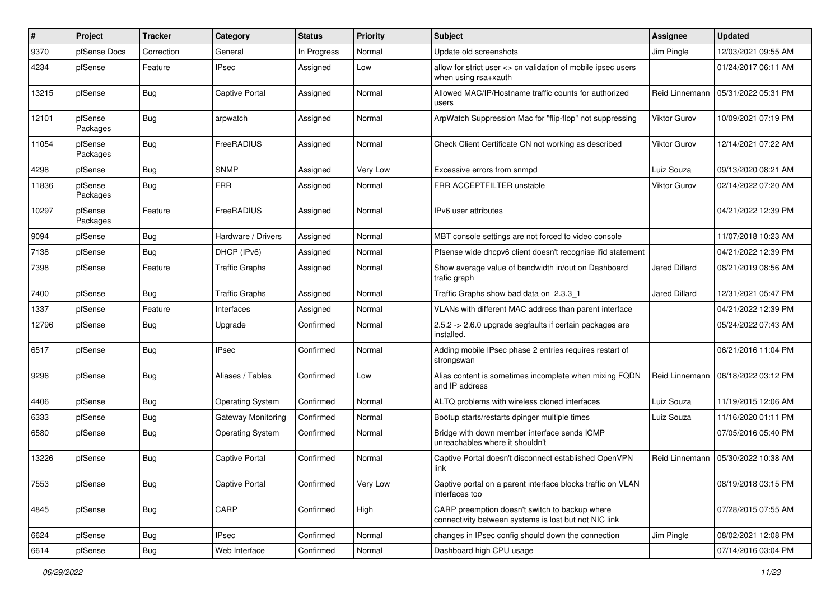| ∦     | Project             | <b>Tracker</b> | Category                  | <b>Status</b> | Priority | <b>Subject</b>                                                                                          | Assignee             | <b>Updated</b>      |
|-------|---------------------|----------------|---------------------------|---------------|----------|---------------------------------------------------------------------------------------------------------|----------------------|---------------------|
| 9370  | pfSense Docs        | Correction     | General                   | In Progress   | Normal   | Update old screenshots                                                                                  | Jim Pingle           | 12/03/2021 09:55 AM |
| 4234  | pfSense             | Feature        | <b>IPsec</b>              | Assigned      | Low      | allow for strict user <> cn validation of mobile ipsec users<br>when using rsa+xauth                    |                      | 01/24/2017 06:11 AM |
| 13215 | pfSense             | Bug            | <b>Captive Portal</b>     | Assigned      | Normal   | Allowed MAC/IP/Hostname traffic counts for authorized<br>users                                          | Reid Linnemann       | 05/31/2022 05:31 PM |
| 12101 | pfSense<br>Packages | Bug            | arpwatch                  | Assigned      | Normal   | ArpWatch Suppression Mac for "flip-flop" not suppressing                                                | <b>Viktor Gurov</b>  | 10/09/2021 07:19 PM |
| 11054 | pfSense<br>Packages | Bug            | FreeRADIUS                | Assigned      | Normal   | Check Client Certificate CN not working as described                                                    | Viktor Gurov         | 12/14/2021 07:22 AM |
| 4298  | pfSense             | Bug            | <b>SNMP</b>               | Assigned      | Very Low | Excessive errors from snmpd                                                                             | Luiz Souza           | 09/13/2020 08:21 AM |
| 11836 | pfSense<br>Packages | Bug            | <b>FRR</b>                | Assigned      | Normal   | FRR ACCEPTFILTER unstable                                                                               | Viktor Gurov         | 02/14/2022 07:20 AM |
| 10297 | pfSense<br>Packages | Feature        | FreeRADIUS                | Assigned      | Normal   | IPv6 user attributes                                                                                    |                      | 04/21/2022 12:39 PM |
| 9094  | pfSense             | Bug            | Hardware / Drivers        | Assigned      | Normal   | MBT console settings are not forced to video console                                                    |                      | 11/07/2018 10:23 AM |
| 7138  | pfSense             | Bug            | DHCP (IPv6)               | Assigned      | Normal   | Pfsense wide dhcpv6 client doesn't recognise ifid statement                                             |                      | 04/21/2022 12:39 PM |
| 7398  | pfSense             | Feature        | <b>Traffic Graphs</b>     | Assigned      | Normal   | Show average value of bandwidth in/out on Dashboard<br>trafic graph                                     | Jared Dillard        | 08/21/2019 08:56 AM |
| 7400  | pfSense             | Bug            | <b>Traffic Graphs</b>     | Assigned      | Normal   | Traffic Graphs show bad data on 2.3.3 1                                                                 | <b>Jared Dillard</b> | 12/31/2021 05:47 PM |
| 1337  | pfSense             | Feature        | Interfaces                | Assigned      | Normal   | VLANs with different MAC address than parent interface                                                  |                      | 04/21/2022 12:39 PM |
| 12796 | pfSense             | <b>Bug</b>     | Upgrade                   | Confirmed     | Normal   | 2.5.2 -> 2.6.0 upgrade segfaults if certain packages are<br>installed.                                  |                      | 05/24/2022 07:43 AM |
| 6517  | pfSense             | Bug            | <b>IPsec</b>              | Confirmed     | Normal   | Adding mobile IPsec phase 2 entries requires restart of<br>strongswan                                   |                      | 06/21/2016 11:04 PM |
| 9296  | pfSense             | Bug            | Aliases / Tables          | Confirmed     | Low      | Alias content is sometimes incomplete when mixing FQDN<br>and IP address                                | Reid Linnemann       | 06/18/2022 03:12 PM |
| 4406  | pfSense             | <b>Bug</b>     | <b>Operating System</b>   | Confirmed     | Normal   | ALTQ problems with wireless cloned interfaces                                                           | Luiz Souza           | 11/19/2015 12:06 AM |
| 6333  | pfSense             | Bug            | <b>Gateway Monitoring</b> | Confirmed     | Normal   | Bootup starts/restarts dpinger multiple times                                                           | Luiz Souza           | 11/16/2020 01:11 PM |
| 6580  | pfSense             | Bug            | <b>Operating System</b>   | Confirmed     | Normal   | Bridge with down member interface sends ICMP<br>unreachables where it shouldn't                         |                      | 07/05/2016 05:40 PM |
| 13226 | pfSense             | Bug            | <b>Captive Portal</b>     | Confirmed     | Normal   | Captive Portal doesn't disconnect established OpenVPN<br>link                                           | Reid Linnemann       | 05/30/2022 10:38 AM |
| 7553  | pfSense             | <b>Bug</b>     | <b>Captive Portal</b>     | Confirmed     | Very Low | Captive portal on a parent interface blocks traffic on VLAN<br>interfaces too                           |                      | 08/19/2018 03:15 PM |
| 4845  | pfSense             | <b>Bug</b>     | CARP                      | Confirmed     | High     | CARP preemption doesn't switch to backup where<br>connectivity between systems is lost but not NIC link |                      | 07/28/2015 07:55 AM |
| 6624  | pfSense             | <b>Bug</b>     | <b>IPsec</b>              | Confirmed     | Normal   | changes in IPsec config should down the connection                                                      | Jim Pingle           | 08/02/2021 12:08 PM |
| 6614  | pfSense             | Bug            | Web Interface             | Confirmed     | Normal   | Dashboard high CPU usage                                                                                |                      | 07/14/2016 03:04 PM |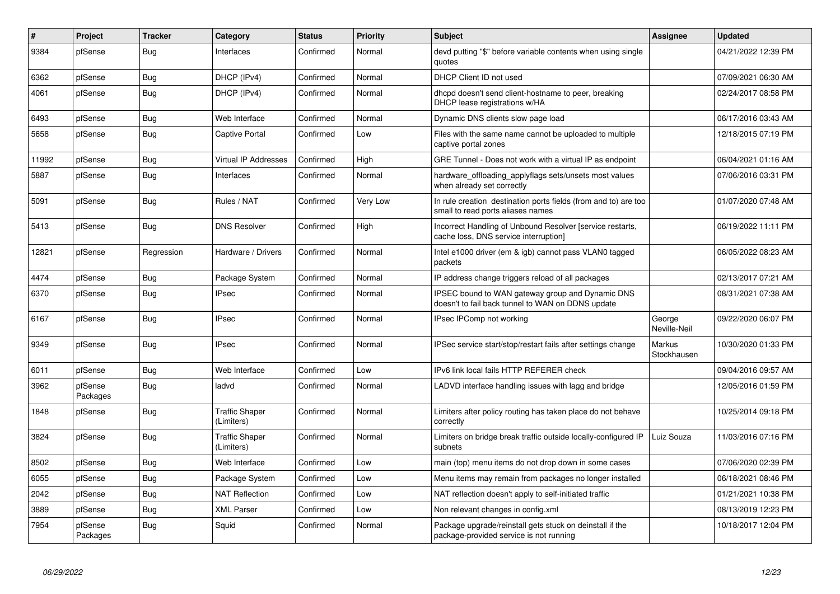| ∦     | Project             | <b>Tracker</b> | Category                            | <b>Status</b> | <b>Priority</b> | <b>Subject</b>                                                                                        | <b>Assignee</b>              | <b>Updated</b>      |
|-------|---------------------|----------------|-------------------------------------|---------------|-----------------|-------------------------------------------------------------------------------------------------------|------------------------------|---------------------|
| 9384  | pfSense             | Bug            | Interfaces                          | Confirmed     | Normal          | devd putting "\$" before variable contents when using single<br>quotes                                |                              | 04/21/2022 12:39 PM |
| 6362  | pfSense             | Bug            | DHCP (IPv4)                         | Confirmed     | Normal          | DHCP Client ID not used                                                                               |                              | 07/09/2021 06:30 AM |
| 4061  | pfSense             | <b>Bug</b>     | DHCP (IPv4)                         | Confirmed     | Normal          | dhcpd doesn't send client-hostname to peer, breaking<br>DHCP lease registrations w/HA                 |                              | 02/24/2017 08:58 PM |
| 6493  | pfSense             | <b>Bug</b>     | Web Interface                       | Confirmed     | Normal          | Dynamic DNS clients slow page load                                                                    |                              | 06/17/2016 03:43 AM |
| 5658  | pfSense             | Bug            | <b>Captive Portal</b>               | Confirmed     | Low             | Files with the same name cannot be uploaded to multiple<br>captive portal zones                       |                              | 12/18/2015 07:19 PM |
| 11992 | pfSense             | Bug            | Virtual IP Addresses                | Confirmed     | High            | GRE Tunnel - Does not work with a virtual IP as endpoint                                              |                              | 06/04/2021 01:16 AM |
| 5887  | pfSense             | <b>Bug</b>     | Interfaces                          | Confirmed     | Normal          | hardware_offloading_applyflags sets/unsets most values<br>when already set correctly                  |                              | 07/06/2016 03:31 PM |
| 5091  | pfSense             | <b>Bug</b>     | Rules / NAT                         | Confirmed     | Very Low        | In rule creation destination ports fields (from and to) are too<br>small to read ports aliases names  |                              | 01/07/2020 07:48 AM |
| 5413  | pfSense             | <b>Bug</b>     | <b>DNS Resolver</b>                 | Confirmed     | High            | Incorrect Handling of Unbound Resolver [service restarts,<br>cache loss, DNS service interruption]    |                              | 06/19/2022 11:11 PM |
| 12821 | pfSense             | Regression     | Hardware / Drivers                  | Confirmed     | Normal          | Intel e1000 driver (em & igb) cannot pass VLAN0 tagged<br>packets                                     |                              | 06/05/2022 08:23 AM |
| 4474  | pfSense             | <b>Bug</b>     | Package System                      | Confirmed     | Normal          | IP address change triggers reload of all packages                                                     |                              | 02/13/2017 07:21 AM |
| 6370  | pfSense             | Bug            | <b>IPsec</b>                        | Confirmed     | Normal          | IPSEC bound to WAN gateway group and Dynamic DNS<br>doesn't to fail back tunnel to WAN on DDNS update |                              | 08/31/2021 07:38 AM |
| 6167  | pfSense             | <b>Bug</b>     | <b>IPsec</b>                        | Confirmed     | Normal          | IPsec IPComp not working                                                                              | George<br>Neville-Neil       | 09/22/2020 06:07 PM |
| 9349  | pfSense             | <b>Bug</b>     | <b>IPsec</b>                        | Confirmed     | Normal          | IPSec service start/stop/restart fails after settings change                                          | <b>Markus</b><br>Stockhausen | 10/30/2020 01:33 PM |
| 6011  | pfSense             | <b>Bug</b>     | Web Interface                       | Confirmed     | Low             | IPv6 link local fails HTTP REFERER check                                                              |                              | 09/04/2016 09:57 AM |
| 3962  | pfSense<br>Packages | <b>Bug</b>     | ladvd                               | Confirmed     | Normal          | LADVD interface handling issues with lagg and bridge                                                  |                              | 12/05/2016 01:59 PM |
| 1848  | pfSense             | <b>Bug</b>     | <b>Traffic Shaper</b><br>(Limiters) | Confirmed     | Normal          | Limiters after policy routing has taken place do not behave<br>correctly                              |                              | 10/25/2014 09:18 PM |
| 3824  | pfSense             | <b>Bug</b>     | <b>Traffic Shaper</b><br>(Limiters) | Confirmed     | Normal          | Limiters on bridge break traffic outside locally-configured IP<br>subnets                             | Luiz Souza                   | 11/03/2016 07:16 PM |
| 8502  | pfSense             | <b>Bug</b>     | Web Interface                       | Confirmed     | Low             | main (top) menu items do not drop down in some cases                                                  |                              | 07/06/2020 02:39 PM |
| 6055  | pfSense             | <b>Bug</b>     | Package System                      | Confirmed     | Low             | Menu items may remain from packages no longer installed                                               |                              | 06/18/2021 08:46 PM |
| 2042  | pfSense             | <b>Bug</b>     | <b>NAT Reflection</b>               | Confirmed     | Low             | NAT reflection doesn't apply to self-initiated traffic                                                |                              | 01/21/2021 10:38 PM |
| 3889  | pfSense             | <b>Bug</b>     | <b>XML Parser</b>                   | Confirmed     | Low             | Non relevant changes in config.xml                                                                    |                              | 08/13/2019 12:23 PM |
| 7954  | pfSense<br>Packages | <b>Bug</b>     | Squid                               | Confirmed     | Normal          | Package upgrade/reinstall gets stuck on deinstall if the<br>package-provided service is not running   |                              | 10/18/2017 12:04 PM |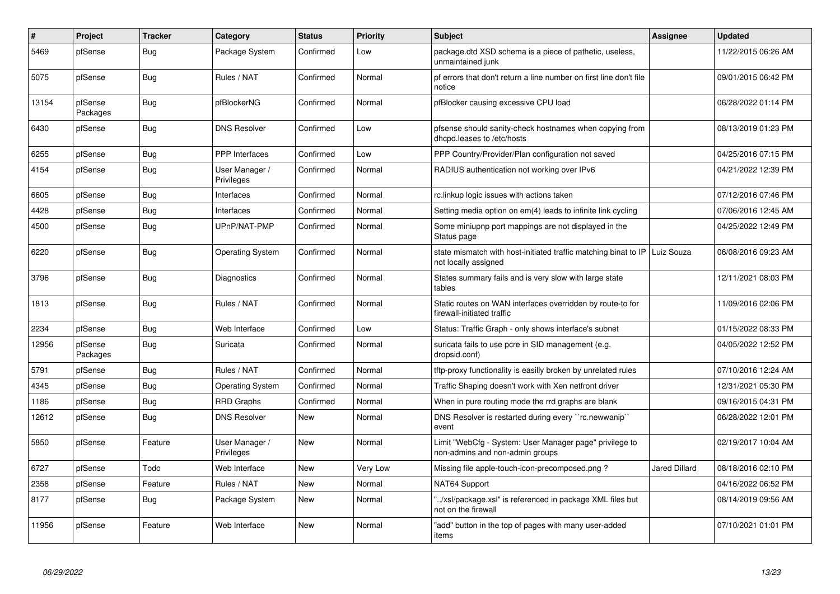| $\#$  | Project             | <b>Tracker</b> | Category                     | <b>Status</b> | <b>Priority</b> | <b>Subject</b>                                                                             | Assignee      | <b>Updated</b>      |
|-------|---------------------|----------------|------------------------------|---------------|-----------------|--------------------------------------------------------------------------------------------|---------------|---------------------|
| 5469  | pfSense             | <b>Bug</b>     | Package System               | Confirmed     | Low             | package.dtd XSD schema is a piece of pathetic, useless,<br>unmaintained junk               |               | 11/22/2015 06:26 AM |
| 5075  | pfSense             | <b>Bug</b>     | Rules / NAT                  | Confirmed     | Normal          | pf errors that don't return a line number on first line don't file<br>notice               |               | 09/01/2015 06:42 PM |
| 13154 | pfSense<br>Packages | <b>Bug</b>     | pfBlockerNG                  | Confirmed     | Normal          | pfBlocker causing excessive CPU load                                                       |               | 06/28/2022 01:14 PM |
| 6430  | pfSense             | Bug            | <b>DNS Resolver</b>          | Confirmed     | Low             | pfsense should sanity-check hostnames when copying from<br>dhcpd.leases to /etc/hosts      |               | 08/13/2019 01:23 PM |
| 6255  | pfSense             | <b>Bug</b>     | PPP Interfaces               | Confirmed     | Low             | PPP Country/Provider/Plan configuration not saved                                          |               | 04/25/2016 07:15 PM |
| 4154  | pfSense             | Bug            | User Manager /<br>Privileges | Confirmed     | Normal          | RADIUS authentication not working over IPv6                                                |               | 04/21/2022 12:39 PM |
| 6605  | pfSense             | Bug            | Interfaces                   | Confirmed     | Normal          | rc.linkup logic issues with actions taken                                                  |               | 07/12/2016 07:46 PM |
| 4428  | pfSense             | Bug            | Interfaces                   | Confirmed     | Normal          | Setting media option on em(4) leads to infinite link cycling                               |               | 07/06/2016 12:45 AM |
| 4500  | pfSense             | <b>Bug</b>     | UPnP/NAT-PMP                 | Confirmed     | Normal          | Some miniupnp port mappings are not displayed in the<br>Status page                        |               | 04/25/2022 12:49 PM |
| 6220  | pfSense             | <b>Bug</b>     | <b>Operating System</b>      | Confirmed     | Normal          | state mismatch with host-initiated traffic matching binat to IP<br>not locally assigned    | Luiz Souza    | 06/08/2016 09:23 AM |
| 3796  | pfSense             | Bug            | Diagnostics                  | Confirmed     | Normal          | States summary fails and is very slow with large state<br>tables                           |               | 12/11/2021 08:03 PM |
| 1813  | pfSense             | Bug            | Rules / NAT                  | Confirmed     | Normal          | Static routes on WAN interfaces overridden by route-to for<br>firewall-initiated traffic   |               | 11/09/2016 02:06 PM |
| 2234  | pfSense             | Bug            | Web Interface                | Confirmed     | Low             | Status: Traffic Graph - only shows interface's subnet                                      |               | 01/15/2022 08:33 PM |
| 12956 | pfSense<br>Packages | Bug            | Suricata                     | Confirmed     | Normal          | suricata fails to use pcre in SID management (e.g.<br>dropsid.conf)                        |               | 04/05/2022 12:52 PM |
| 5791  | pfSense             | <b>Bug</b>     | Rules / NAT                  | Confirmed     | Normal          | tftp-proxy functionality is easilly broken by unrelated rules                              |               | 07/10/2016 12:24 AM |
| 4345  | pfSense             | Bug            | <b>Operating System</b>      | Confirmed     | Normal          | Traffic Shaping doesn't work with Xen netfront driver                                      |               | 12/31/2021 05:30 PM |
| 1186  | pfSense             | Bug            | <b>RRD Graphs</b>            | Confirmed     | Normal          | When in pure routing mode the rrd graphs are blank                                         |               | 09/16/2015 04:31 PM |
| 12612 | pfSense             | <b>Bug</b>     | <b>DNS Resolver</b>          | New           | Normal          | DNS Resolver is restarted during every "rc.newwanip"<br>event                              |               | 06/28/2022 12:01 PM |
| 5850  | pfSense             | Feature        | User Manager /<br>Privileges | New           | Normal          | Limit "WebCfg - System: User Manager page" privilege to<br>non-admins and non-admin groups |               | 02/19/2017 10:04 AM |
| 6727  | pfSense             | Todo           | Web Interface                | <b>New</b>    | Very Low        | Missing file apple-touch-icon-precomposed.png ?                                            | Jared Dillard | 08/18/2016 02:10 PM |
| 2358  | pfSense             | Feature        | Rules / NAT                  | New           | Normal          | NAT64 Support                                                                              |               | 04/16/2022 06:52 PM |
| 8177  | pfSense             | <b>Bug</b>     | Package System               | <b>New</b>    | Normal          | '/xsl/package.xsl" is referenced in package XML files but<br>not on the firewall           |               | 08/14/2019 09:56 AM |
| 11956 | pfSense             | Feature        | Web Interface                | <b>New</b>    | Normal          | 'add" button in the top of pages with many user-added<br>items                             |               | 07/10/2021 01:01 PM |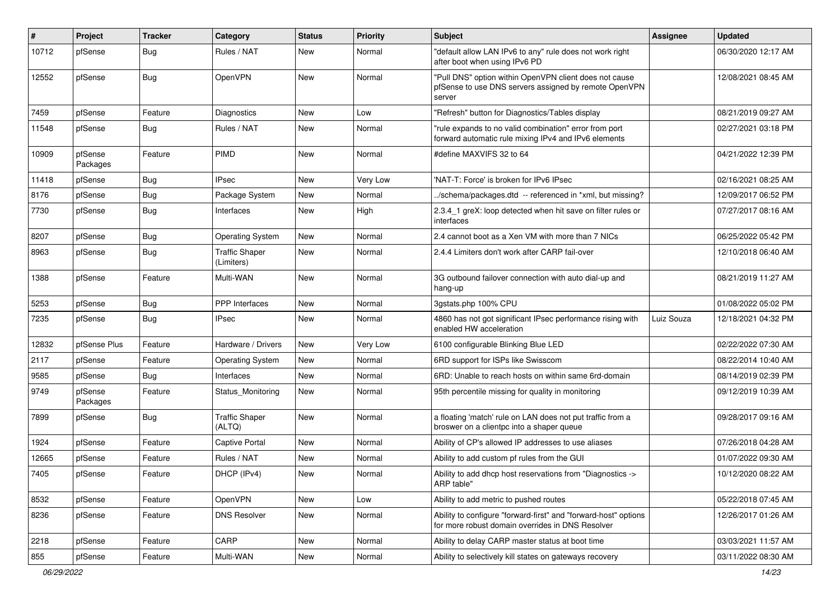| #     | Project             | <b>Tracker</b> | <b>Category</b>                     | <b>Status</b> | <b>Priority</b> | <b>Subject</b>                                                                                                            | Assignee   | <b>Updated</b>      |
|-------|---------------------|----------------|-------------------------------------|---------------|-----------------|---------------------------------------------------------------------------------------------------------------------------|------------|---------------------|
| 10712 | pfSense             | Bug            | Rules / NAT                         | New           | Normal          | "default allow LAN IPv6 to any" rule does not work right<br>after boot when using IPv6 PD                                 |            | 06/30/2020 12:17 AM |
| 12552 | pfSense             | Bug            | OpenVPN                             | New           | Normal          | "Pull DNS" option within OpenVPN client does not cause<br>pfSense to use DNS servers assigned by remote OpenVPN<br>server |            | 12/08/2021 08:45 AM |
| 7459  | pfSense             | Feature        | Diagnostics                         | New           | Low             | "Refresh" button for Diagnostics/Tables display                                                                           |            | 08/21/2019 09:27 AM |
| 11548 | pfSense             | Bug            | Rules / NAT                         | New           | Normal          | "rule expands to no valid combination" error from port<br>forward automatic rule mixing IPv4 and IPv6 elements            |            | 02/27/2021 03:18 PM |
| 10909 | pfSense<br>Packages | Feature        | <b>PIMD</b>                         | New           | Normal          | #define MAXVIFS 32 to 64                                                                                                  |            | 04/21/2022 12:39 PM |
| 11418 | pfSense             | Bug            | <b>IPsec</b>                        | New           | Very Low        | 'NAT-T: Force' is broken for IPv6 IPsec                                                                                   |            | 02/16/2021 08:25 AM |
| 8176  | pfSense             | Bug            | Package System                      | New           | Normal          | ./schema/packages.dtd -- referenced in *xml, but missing?                                                                 |            | 12/09/2017 06:52 PM |
| 7730  | pfSense             | <b>Bug</b>     | Interfaces                          | New           | High            | 2.3.4 1 greX: loop detected when hit save on filter rules or<br>interfaces                                                |            | 07/27/2017 08:16 AM |
| 8207  | pfSense             | Bug            | <b>Operating System</b>             | New           | Normal          | 2.4 cannot boot as a Xen VM with more than 7 NICs                                                                         |            | 06/25/2022 05:42 PM |
| 8963  | pfSense             | <b>Bug</b>     | <b>Traffic Shaper</b><br>(Limiters) | New           | Normal          | 2.4.4 Limiters don't work after CARP fail-over                                                                            |            | 12/10/2018 06:40 AM |
| 1388  | pfSense             | Feature        | Multi-WAN                           | New           | Normal          | 3G outbound failover connection with auto dial-up and<br>hang-up                                                          |            | 08/21/2019 11:27 AM |
| 5253  | pfSense             | Bug            | PPP Interfaces                      | New           | Normal          | 3gstats.php 100% CPU                                                                                                      |            | 01/08/2022 05:02 PM |
| 7235  | pfSense             | Bug            | <b>IPsec</b>                        | New           | Normal          | 4860 has not got significant IPsec performance rising with<br>enabled HW acceleration                                     | Luiz Souza | 12/18/2021 04:32 PM |
| 12832 | pfSense Plus        | Feature        | Hardware / Drivers                  | New           | Very Low        | 6100 configurable Blinking Blue LED                                                                                       |            | 02/22/2022 07:30 AM |
| 2117  | pfSense             | Feature        | <b>Operating System</b>             | New           | Normal          | 6RD support for ISPs like Swisscom                                                                                        |            | 08/22/2014 10:40 AM |
| 9585  | pfSense             | Bug            | Interfaces                          | New           | Normal          | 6RD: Unable to reach hosts on within same 6rd-domain                                                                      |            | 08/14/2019 02:39 PM |
| 9749  | pfSense<br>Packages | Feature        | Status_Monitoring                   | New           | Normal          | 95th percentile missing for quality in monitoring                                                                         |            | 09/12/2019 10:39 AM |
| 7899  | pfSense             | Bug            | <b>Traffic Shaper</b><br>(ALTQ)     | New           | Normal          | a floating 'match' rule on LAN does not put traffic from a<br>broswer on a clientpc into a shaper queue                   |            | 09/28/2017 09:16 AM |
| 1924  | pfSense             | Feature        | <b>Captive Portal</b>               | New           | Normal          | Ability of CP's allowed IP addresses to use aliases                                                                       |            | 07/26/2018 04:28 AM |
| 12665 | pfSense             | Feature        | Rules / NAT                         | New           | Normal          | Ability to add custom pf rules from the GUI                                                                               |            | 01/07/2022 09:30 AM |
| 7405  | pfSense             | Feature        | DHCP (IPv4)                         | New           | Normal          | Ability to add dhcp host reservations from "Diagnostics -><br>ARP table"                                                  |            | 10/12/2020 08:22 AM |
| 8532  | pfSense             | Feature        | OpenVPN                             | New           | Low             | Ability to add metric to pushed routes                                                                                    |            | 05/22/2018 07:45 AM |
| 8236  | pfSense             | Feature        | <b>DNS Resolver</b>                 | New           | Normal          | Ability to configure "forward-first" and "forward-host" options<br>for more robust domain overrides in DNS Resolver       |            | 12/26/2017 01:26 AM |
| 2218  | pfSense             | Feature        | CARP                                | New           | Normal          | Ability to delay CARP master status at boot time                                                                          |            | 03/03/2021 11:57 AM |
| 855   | pfSense             | Feature        | Multi-WAN                           | New           | Normal          | Ability to selectively kill states on gateways recovery                                                                   |            | 03/11/2022 08:30 AM |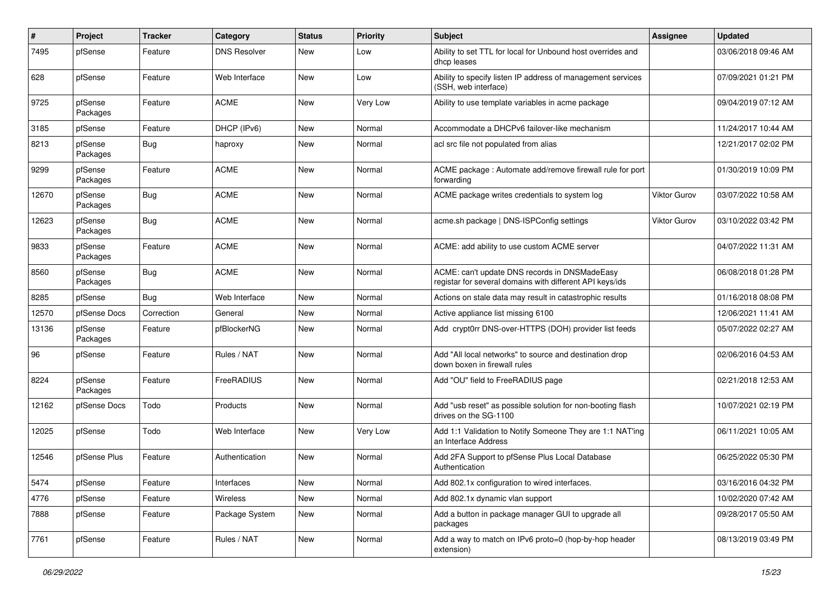| $\sharp$ | <b>Project</b>      | <b>Tracker</b> | Category            | <b>Status</b> | <b>Priority</b> | <b>Subject</b>                                                                                            | Assignee     | <b>Updated</b>      |
|----------|---------------------|----------------|---------------------|---------------|-----------------|-----------------------------------------------------------------------------------------------------------|--------------|---------------------|
| 7495     | pfSense             | Feature        | <b>DNS Resolver</b> | New           | Low             | Ability to set TTL for local for Unbound host overrides and<br>dhcp leases                                |              | 03/06/2018 09:46 AM |
| 628      | pfSense             | Feature        | Web Interface       | New           | Low             | Ability to specify listen IP address of management services<br>(SSH, web interface)                       |              | 07/09/2021 01:21 PM |
| 9725     | pfSense<br>Packages | Feature        | <b>ACME</b>         | New           | Very Low        | Ability to use template variables in acme package                                                         |              | 09/04/2019 07:12 AM |
| 3185     | pfSense             | Feature        | DHCP (IPv6)         | New           | Normal          | Accommodate a DHCPv6 failover-like mechanism                                                              |              | 11/24/2017 10:44 AM |
| 8213     | pfSense<br>Packages | Bug            | haproxy             | New           | Normal          | acl src file not populated from alias                                                                     |              | 12/21/2017 02:02 PM |
| 9299     | pfSense<br>Packages | Feature        | <b>ACME</b>         | New           | Normal          | ACME package: Automate add/remove firewall rule for port<br>forwarding                                    |              | 01/30/2019 10:09 PM |
| 12670    | pfSense<br>Packages | Bug            | <b>ACME</b>         | New           | Normal          | ACME package writes credentials to system log                                                             | Viktor Gurov | 03/07/2022 10:58 AM |
| 12623    | pfSense<br>Packages | Bug            | <b>ACME</b>         | New           | Normal          | acme.sh package   DNS-ISPConfig settings                                                                  | Viktor Gurov | 03/10/2022 03:42 PM |
| 9833     | pfSense<br>Packages | Feature        | <b>ACME</b>         | New           | Normal          | ACME: add ability to use custom ACME server                                                               |              | 04/07/2022 11:31 AM |
| 8560     | pfSense<br>Packages | Bug            | <b>ACME</b>         | <b>New</b>    | Normal          | ACME: can't update DNS records in DNSMadeEasy<br>registar for several domains with different API keys/ids |              | 06/08/2018 01:28 PM |
| 8285     | pfSense             | Bug            | Web Interface       | New           | Normal          | Actions on stale data may result in catastrophic results                                                  |              | 01/16/2018 08:08 PM |
| 12570    | pfSense Docs        | Correction     | General             | New           | Normal          | Active appliance list missing 6100                                                                        |              | 12/06/2021 11:41 AM |
| 13136    | pfSense<br>Packages | Feature        | pfBlockerNG         | New           | Normal          | Add crypt0rr DNS-over-HTTPS (DOH) provider list feeds                                                     |              | 05/07/2022 02:27 AM |
| 96       | pfSense             | Feature        | Rules / NAT         | New           | Normal          | Add "All local networks" to source and destination drop<br>down boxen in firewall rules                   |              | 02/06/2016 04:53 AM |
| 8224     | pfSense<br>Packages | Feature        | FreeRADIUS          | New           | Normal          | Add "OU" field to FreeRADIUS page                                                                         |              | 02/21/2018 12:53 AM |
| 12162    | pfSense Docs        | Todo           | Products            | New           | Normal          | Add "usb reset" as possible solution for non-booting flash<br>drives on the SG-1100                       |              | 10/07/2021 02:19 PM |
| 12025    | pfSense             | Todo           | Web Interface       | New           | Very Low        | Add 1:1 Validation to Notify Someone They are 1:1 NAT'ing<br>an Interface Address                         |              | 06/11/2021 10:05 AM |
| 12546    | pfSense Plus        | Feature        | Authentication      | New           | Normal          | Add 2FA Support to pfSense Plus Local Database<br>Authentication                                          |              | 06/25/2022 05:30 PM |
| 5474     | pfSense             | Feature        | Interfaces          | New           | Normal          | Add 802.1x configuration to wired interfaces.                                                             |              | 03/16/2016 04:32 PM |
| 4776     | pfSense             | Feature        | Wireless            | New           | Normal          | Add 802.1x dynamic vlan support                                                                           |              | 10/02/2020 07:42 AM |
| 7888     | pfSense             | Feature        | Package System      | New           | Normal          | Add a button in package manager GUI to upgrade all<br>packages                                            |              | 09/28/2017 05:50 AM |
| 7761     | pfSense             | Feature        | Rules / NAT         | New           | Normal          | Add a way to match on IPv6 proto=0 (hop-by-hop header<br>extension)                                       |              | 08/13/2019 03:49 PM |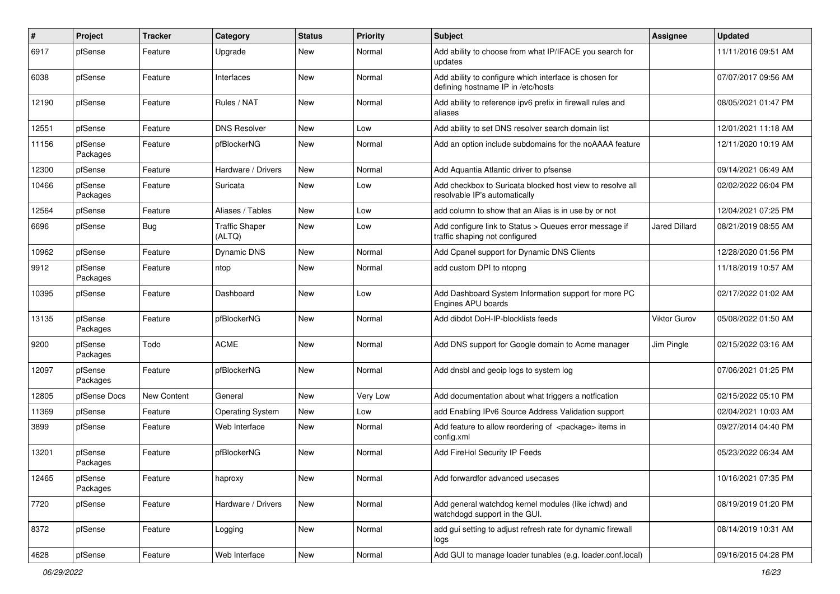| #     | <b>Project</b>      | <b>Tracker</b>     | Category                        | <b>Status</b> | <b>Priority</b> | <b>Subject</b>                                                                               | Assignee             | <b>Updated</b>      |
|-------|---------------------|--------------------|---------------------------------|---------------|-----------------|----------------------------------------------------------------------------------------------|----------------------|---------------------|
| 6917  | pfSense             | Feature            | Upgrade                         | New           | Normal          | Add ability to choose from what IP/IFACE you search for<br>updates                           |                      | 11/11/2016 09:51 AM |
| 6038  | pfSense             | Feature            | Interfaces                      | New           | Normal          | Add ability to configure which interface is chosen for<br>defining hostname IP in /etc/hosts |                      | 07/07/2017 09:56 AM |
| 12190 | pfSense             | Feature            | Rules / NAT                     | New           | Normal          | Add ability to reference ipv6 prefix in firewall rules and<br>aliases                        |                      | 08/05/2021 01:47 PM |
| 12551 | pfSense             | Feature            | <b>DNS Resolver</b>             | New           | Low             | Add ability to set DNS resolver search domain list                                           |                      | 12/01/2021 11:18 AM |
| 11156 | pfSense<br>Packages | Feature            | pfBlockerNG                     | New           | Normal          | Add an option include subdomains for the noAAAA feature                                      |                      | 12/11/2020 10:19 AM |
| 12300 | pfSense             | Feature            | Hardware / Drivers              | New           | Normal          | Add Aquantia Atlantic driver to pfsense                                                      |                      | 09/14/2021 06:49 AM |
| 10466 | pfSense<br>Packages | Feature            | Suricata                        | New           | Low             | Add checkbox to Suricata blocked host view to resolve all<br>resolvable IP's automatically   |                      | 02/02/2022 06:04 PM |
| 12564 | pfSense             | Feature            | Aliases / Tables                | New           | Low             | add column to show that an Alias is in use by or not                                         |                      | 12/04/2021 07:25 PM |
| 6696  | pfSense             | Bug                | <b>Traffic Shaper</b><br>(ALTQ) | New           | Low             | Add configure link to Status > Queues error message if<br>traffic shaping not configured     | <b>Jared Dillard</b> | 08/21/2019 08:55 AM |
| 10962 | pfSense             | Feature            | Dynamic DNS                     | New           | Normal          | Add Cpanel support for Dynamic DNS Clients                                                   |                      | 12/28/2020 01:56 PM |
| 9912  | pfSense<br>Packages | Feature            | ntop                            | New           | Normal          | add custom DPI to ntopng                                                                     |                      | 11/18/2019 10:57 AM |
| 10395 | pfSense             | Feature            | Dashboard                       | New           | Low             | Add Dashboard System Information support for more PC<br>Engines APU boards                   |                      | 02/17/2022 01:02 AM |
| 13135 | pfSense<br>Packages | Feature            | pfBlockerNG                     | <b>New</b>    | Normal          | Add dibdot DoH-IP-blocklists feeds                                                           | Viktor Gurov         | 05/08/2022 01:50 AM |
| 9200  | pfSense<br>Packages | Todo               | <b>ACME</b>                     | New           | Normal          | Add DNS support for Google domain to Acme manager                                            | Jim Pingle           | 02/15/2022 03:16 AM |
| 12097 | pfSense<br>Packages | Feature            | pfBlockerNG                     | New           | Normal          | Add dnsbl and geoip logs to system log                                                       |                      | 07/06/2021 01:25 PM |
| 12805 | pfSense Docs        | <b>New Content</b> | General                         | New           | Very Low        | Add documentation about what triggers a notfication                                          |                      | 02/15/2022 05:10 PM |
| 11369 | pfSense             | Feature            | <b>Operating System</b>         | New           | Low             | add Enabling IPv6 Source Address Validation support                                          |                      | 02/04/2021 10:03 AM |
| 3899  | pfSense             | Feature            | Web Interface                   | New           | Normal          | Add feature to allow reordering of <package> items in<br/>config.xml</package>               |                      | 09/27/2014 04:40 PM |
| 13201 | pfSense<br>Packages | Feature            | pfBlockerNG                     | New           | Normal          | Add FireHol Security IP Feeds                                                                |                      | 05/23/2022 06:34 AM |
| 12465 | pfSense<br>Packages | Feature            | haproxy                         | New           | Normal          | Add forwardfor advanced usecases                                                             |                      | 10/16/2021 07:35 PM |
| 7720  | pfSense             | Feature            | Hardware / Drivers              | New           | Normal          | Add general watchdog kernel modules (like ichwd) and<br>watchdogd support in the GUI.        |                      | 08/19/2019 01:20 PM |
| 8372  | pfSense             | Feature            | Logging                         | New           | Normal          | add gui setting to adjust refresh rate for dynamic firewall<br>logs                          |                      | 08/14/2019 10:31 AM |
| 4628  | pfSense             | Feature            | Web Interface                   | New           | Normal          | Add GUI to manage loader tunables (e.g. loader.conf.local)                                   |                      | 09/16/2015 04:28 PM |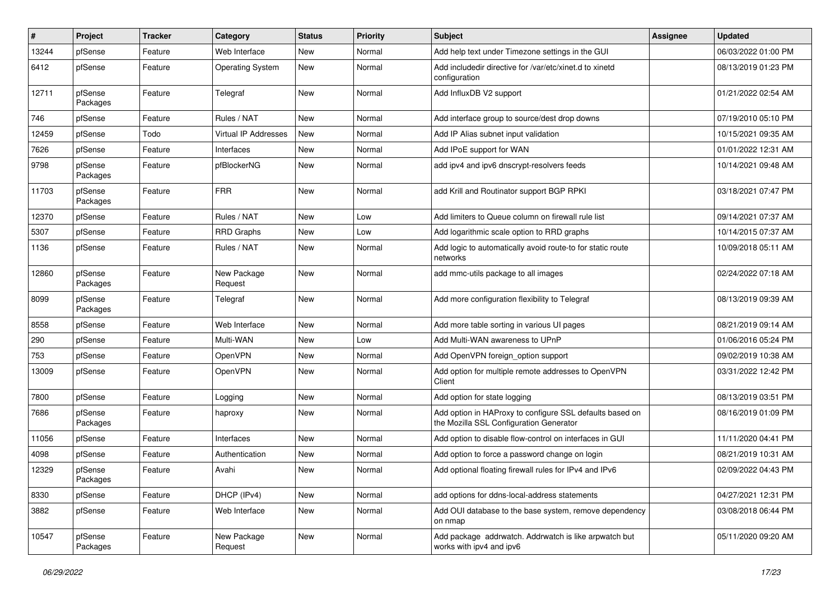| #     | Project             | <b>Tracker</b> | Category                | <b>Status</b> | Priority | <b>Subject</b>                                                                                      | Assignee | <b>Updated</b>      |
|-------|---------------------|----------------|-------------------------|---------------|----------|-----------------------------------------------------------------------------------------------------|----------|---------------------|
| 13244 | pfSense             | Feature        | Web Interface           | New           | Normal   | Add help text under Timezone settings in the GUI                                                    |          | 06/03/2022 01:00 PM |
| 6412  | pfSense             | Feature        | <b>Operating System</b> | New           | Normal   | Add includedir directive for /var/etc/xinet.d to xinetd<br>configuration                            |          | 08/13/2019 01:23 PM |
| 12711 | pfSense<br>Packages | Feature        | Telegraf                | New           | Normal   | Add InfluxDB V2 support                                                                             |          | 01/21/2022 02:54 AM |
| 746   | pfSense             | Feature        | Rules / NAT             | New           | Normal   | Add interface group to source/dest drop downs                                                       |          | 07/19/2010 05:10 PM |
| 12459 | pfSense             | Todo           | Virtual IP Addresses    | New           | Normal   | Add IP Alias subnet input validation                                                                |          | 10/15/2021 09:35 AM |
| 7626  | pfSense             | Feature        | Interfaces              | New           | Normal   | Add IPoE support for WAN                                                                            |          | 01/01/2022 12:31 AM |
| 9798  | pfSense<br>Packages | Feature        | pfBlockerNG             | New           | Normal   | add ipv4 and ipv6 dnscrypt-resolvers feeds                                                          |          | 10/14/2021 09:48 AM |
| 11703 | pfSense<br>Packages | Feature        | <b>FRR</b>              | New           | Normal   | add Krill and Routinator support BGP RPKI                                                           |          | 03/18/2021 07:47 PM |
| 12370 | pfSense             | Feature        | Rules / NAT             | New           | Low      | Add limiters to Queue column on firewall rule list                                                  |          | 09/14/2021 07:37 AM |
| 5307  | pfSense             | Feature        | <b>RRD Graphs</b>       | New           | Low      | Add logarithmic scale option to RRD graphs                                                          |          | 10/14/2015 07:37 AM |
| 1136  | pfSense             | Feature        | Rules / NAT             | New           | Normal   | Add logic to automatically avoid route-to for static route<br>networks                              |          | 10/09/2018 05:11 AM |
| 12860 | pfSense<br>Packages | Feature        | New Package<br>Request  | New           | Normal   | add mmc-utils package to all images                                                                 |          | 02/24/2022 07:18 AM |
| 8099  | pfSense<br>Packages | Feature        | Telegraf                | New           | Normal   | Add more configuration flexibility to Telegraf                                                      |          | 08/13/2019 09:39 AM |
| 8558  | pfSense             | Feature        | Web Interface           | New           | Normal   | Add more table sorting in various UI pages                                                          |          | 08/21/2019 09:14 AM |
| 290   | pfSense             | Feature        | Multi-WAN               | New           | Low      | Add Multi-WAN awareness to UPnP                                                                     |          | 01/06/2016 05:24 PM |
| 753   | pfSense             | Feature        | <b>OpenVPN</b>          | New           | Normal   | Add OpenVPN foreign option support                                                                  |          | 09/02/2019 10:38 AM |
| 13009 | pfSense             | Feature        | <b>OpenVPN</b>          | New           | Normal   | Add option for multiple remote addresses to OpenVPN<br>Client                                       |          | 03/31/2022 12:42 PM |
| 7800  | pfSense             | Feature        | Logging                 | New           | Normal   | Add option for state logging                                                                        |          | 08/13/2019 03:51 PM |
| 7686  | pfSense<br>Packages | Feature        | haproxy                 | New           | Normal   | Add option in HAProxy to configure SSL defaults based on<br>the Mozilla SSL Configuration Generator |          | 08/16/2019 01:09 PM |
| 11056 | pfSense             | Feature        | Interfaces              | New           | Normal   | Add option to disable flow-control on interfaces in GUI                                             |          | 11/11/2020 04:41 PM |
| 4098  | pfSense             | Feature        | Authentication          | New           | Normal   | Add option to force a password change on login                                                      |          | 08/21/2019 10:31 AM |
| 12329 | pfSense<br>Packages | Feature        | Avahi                   | New           | Normal   | Add optional floating firewall rules for IPv4 and IPv6                                              |          | 02/09/2022 04:43 PM |
| 8330  | pfSense             | Feature        | DHCP (IPv4)             | New           | Normal   | add options for ddns-local-address statements                                                       |          | 04/27/2021 12:31 PM |
| 3882  | pfSense             | Feature        | Web Interface           | New           | Normal   | Add OUI database to the base system, remove dependency<br>on nmap                                   |          | 03/08/2018 06:44 PM |
| 10547 | pfSense<br>Packages | Feature        | New Package<br>Request  | New           | Normal   | Add package addrwatch. Addrwatch is like arpwatch but<br>works with ipv4 and ipv6                   |          | 05/11/2020 09:20 AM |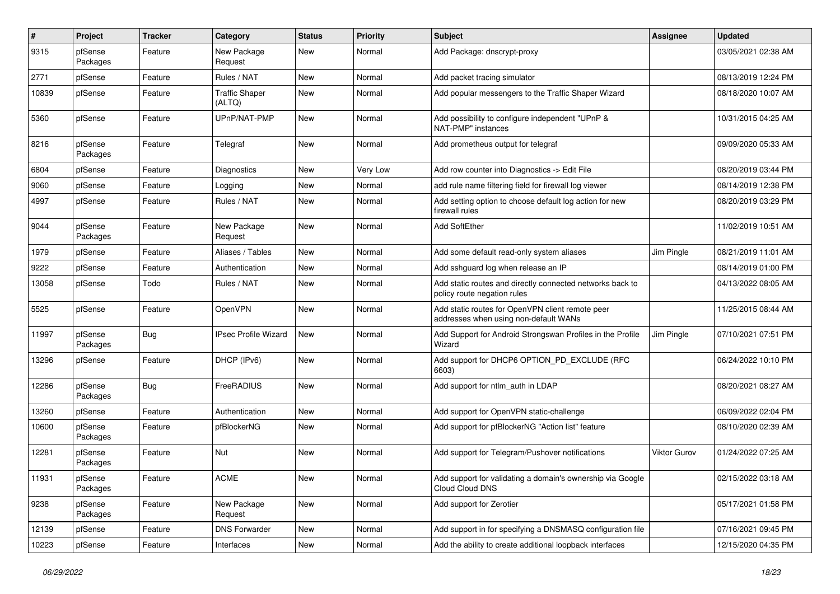| $\#$  | Project             | <b>Tracker</b> | Category                        | <b>Status</b> | <b>Priority</b> | <b>Subject</b>                                                                            | Assignee     | <b>Updated</b>      |
|-------|---------------------|----------------|---------------------------------|---------------|-----------------|-------------------------------------------------------------------------------------------|--------------|---------------------|
| 9315  | pfSense<br>Packages | Feature        | New Package<br>Request          | New           | Normal          | Add Package: dnscrypt-proxy                                                               |              | 03/05/2021 02:38 AM |
| 2771  | pfSense             | Feature        | Rules / NAT                     | <b>New</b>    | Normal          | Add packet tracing simulator                                                              |              | 08/13/2019 12:24 PM |
| 10839 | pfSense             | Feature        | <b>Traffic Shaper</b><br>(ALTQ) | New           | Normal          | Add popular messengers to the Traffic Shaper Wizard                                       |              | 08/18/2020 10:07 AM |
| 5360  | pfSense             | Feature        | UPnP/NAT-PMP                    | <b>New</b>    | Normal          | Add possibility to configure independent "UPnP &<br>NAT-PMP" instances                    |              | 10/31/2015 04:25 AM |
| 8216  | pfSense<br>Packages | Feature        | Telegraf                        | New           | Normal          | Add prometheus output for telegraf                                                        |              | 09/09/2020 05:33 AM |
| 6804  | pfSense             | Feature        | Diagnostics                     | New           | Very Low        | Add row counter into Diagnostics -> Edit File                                             |              | 08/20/2019 03:44 PM |
| 9060  | pfSense             | Feature        | Logging                         | New           | Normal          | add rule name filtering field for firewall log viewer                                     |              | 08/14/2019 12:38 PM |
| 4997  | pfSense             | Feature        | Rules / NAT                     | New           | Normal          | Add setting option to choose default log action for new<br>firewall rules                 |              | 08/20/2019 03:29 PM |
| 9044  | pfSense<br>Packages | Feature        | New Package<br>Request          | New           | Normal          | Add SoftEther                                                                             |              | 11/02/2019 10:51 AM |
| 1979  | pfSense             | Feature        | Aliases / Tables                | <b>New</b>    | Normal          | Add some default read-only system aliases                                                 | Jim Pingle   | 08/21/2019 11:01 AM |
| 9222  | pfSense             | Feature        | Authentication                  | New           | Normal          | Add sshguard log when release an IP                                                       |              | 08/14/2019 01:00 PM |
| 13058 | pfSense             | Todo           | Rules / NAT                     | New           | Normal          | Add static routes and directly connected networks back to<br>policy route negation rules  |              | 04/13/2022 08:05 AM |
| 5525  | pfSense             | Feature        | OpenVPN                         | New           | Normal          | Add static routes for OpenVPN client remote peer<br>addresses when using non-default WANs |              | 11/25/2015 08:44 AM |
| 11997 | pfSense<br>Packages | Bug            | <b>IPsec Profile Wizard</b>     | New           | Normal          | Add Support for Android Strongswan Profiles in the Profile<br>Wizard                      | Jim Pingle   | 07/10/2021 07:51 PM |
| 13296 | pfSense             | Feature        | DHCP (IPv6)                     | New           | Normal          | Add support for DHCP6 OPTION_PD_EXCLUDE (RFC<br>6603)                                     |              | 06/24/2022 10:10 PM |
| 12286 | pfSense<br>Packages | <b>Bug</b>     | FreeRADIUS                      | New           | Normal          | Add support for ntlm auth in LDAP                                                         |              | 08/20/2021 08:27 AM |
| 13260 | pfSense             | Feature        | Authentication                  | New           | Normal          | Add support for OpenVPN static-challenge                                                  |              | 06/09/2022 02:04 PM |
| 10600 | pfSense<br>Packages | Feature        | pfBlockerNG                     | New           | Normal          | Add support for pfBlockerNG "Action list" feature                                         |              | 08/10/2020 02:39 AM |
| 12281 | pfSense<br>Packages | Feature        | <b>Nut</b>                      | New           | Normal          | Add support for Telegram/Pushover notifications                                           | Viktor Gurov | 01/24/2022 07:25 AM |
| 11931 | pfSense<br>Packages | Feature        | <b>ACME</b>                     | New           | Normal          | Add support for validating a domain's ownership via Google<br>Cloud Cloud DNS             |              | 02/15/2022 03:18 AM |
| 9238  | pfSense<br>Packages | Feature        | New Package<br>Request          | New           | Normal          | Add support for Zerotier                                                                  |              | 05/17/2021 01:58 PM |
| 12139 | pfSense             | Feature        | <b>DNS Forwarder</b>            | New           | Normal          | Add support in for specifying a DNSMASQ configuration file                                |              | 07/16/2021 09:45 PM |
| 10223 | pfSense             | Feature        | Interfaces                      | New           | Normal          | Add the ability to create additional loopback interfaces                                  |              | 12/15/2020 04:35 PM |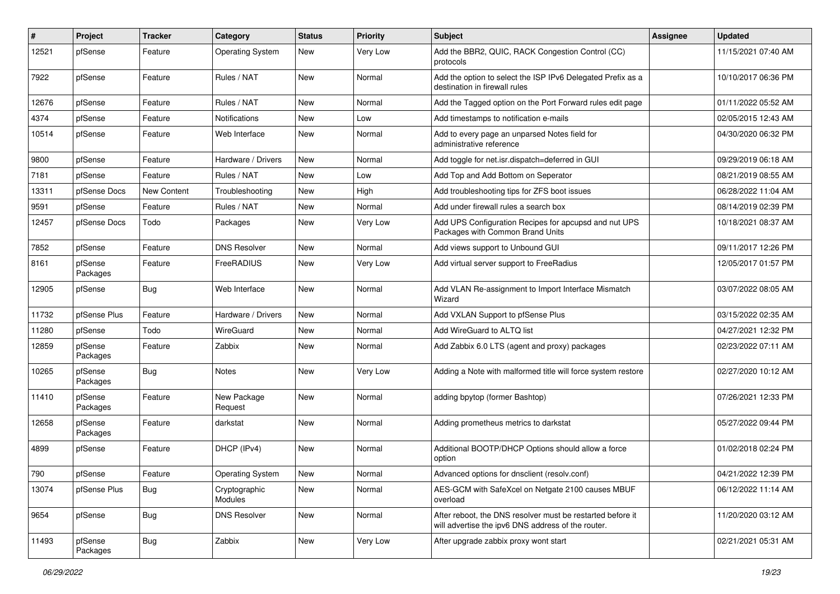| #     | Project             | <b>Tracker</b> | Category                 | <b>Status</b> | <b>Priority</b> | Subject                                                                                                          | <b>Assignee</b> | <b>Updated</b>      |
|-------|---------------------|----------------|--------------------------|---------------|-----------------|------------------------------------------------------------------------------------------------------------------|-----------------|---------------------|
| 12521 | pfSense             | Feature        | <b>Operating System</b>  | New           | Very Low        | Add the BBR2, QUIC, RACK Congestion Control (CC)<br>protocols                                                    |                 | 11/15/2021 07:40 AM |
| 7922  | pfSense             | Feature        | Rules / NAT              | <b>New</b>    | Normal          | Add the option to select the ISP IPv6 Delegated Prefix as a<br>destination in firewall rules                     |                 | 10/10/2017 06:36 PM |
| 12676 | pfSense             | Feature        | Rules / NAT              | New           | Normal          | Add the Tagged option on the Port Forward rules edit page                                                        |                 | 01/11/2022 05:52 AM |
| 4374  | pfSense             | Feature        | <b>Notifications</b>     | New           | Low             | Add timestamps to notification e-mails                                                                           |                 | 02/05/2015 12:43 AM |
| 10514 | pfSense             | Feature        | Web Interface            | New           | Normal          | Add to every page an unparsed Notes field for<br>administrative reference                                        |                 | 04/30/2020 06:32 PM |
| 9800  | pfSense             | Feature        | Hardware / Drivers       | New           | Normal          | Add toggle for net.isr.dispatch=deferred in GUI                                                                  |                 | 09/29/2019 06:18 AM |
| 7181  | pfSense             | Feature        | Rules / NAT              | New           | Low             | Add Top and Add Bottom on Seperator                                                                              |                 | 08/21/2019 08:55 AM |
| 13311 | pfSense Docs        | New Content    | Troubleshooting          | New           | High            | Add troubleshooting tips for ZFS boot issues                                                                     |                 | 06/28/2022 11:04 AM |
| 9591  | pfSense             | Feature        | Rules / NAT              | New           | Normal          | Add under firewall rules a search box                                                                            |                 | 08/14/2019 02:39 PM |
| 12457 | pfSense Docs        | Todo           | Packages                 | <b>New</b>    | Very Low        | Add UPS Configuration Recipes for apcupsd and nut UPS<br>Packages with Common Brand Units                        |                 | 10/18/2021 08:37 AM |
| 7852  | pfSense             | Feature        | <b>DNS Resolver</b>      | New           | Normal          | Add views support to Unbound GUI                                                                                 |                 | 09/11/2017 12:26 PM |
| 8161  | pfSense<br>Packages | Feature        | FreeRADIUS               | New           | Very Low        | Add virtual server support to FreeRadius                                                                         |                 | 12/05/2017 01:57 PM |
| 12905 | pfSense             | Bug            | Web Interface            | New           | Normal          | Add VLAN Re-assignment to Import Interface Mismatch<br>Wizard                                                    |                 | 03/07/2022 08:05 AM |
| 11732 | pfSense Plus        | Feature        | Hardware / Drivers       | New           | Normal          | Add VXLAN Support to pfSense Plus                                                                                |                 | 03/15/2022 02:35 AM |
| 11280 | pfSense             | Todo           | WireGuard                | New           | Normal          | Add WireGuard to ALTQ list                                                                                       |                 | 04/27/2021 12:32 PM |
| 12859 | pfSense<br>Packages | Feature        | Zabbix                   | New           | Normal          | Add Zabbix 6.0 LTS (agent and proxy) packages                                                                    |                 | 02/23/2022 07:11 AM |
| 10265 | pfSense<br>Packages | <b>Bug</b>     | <b>Notes</b>             | New           | Very Low        | Adding a Note with malformed title will force system restore                                                     |                 | 02/27/2020 10:12 AM |
| 11410 | pfSense<br>Packages | Feature        | New Package<br>Request   | New           | Normal          | adding bpytop (former Bashtop)                                                                                   |                 | 07/26/2021 12:33 PM |
| 12658 | pfSense<br>Packages | Feature        | darkstat                 | <b>New</b>    | Normal          | Adding prometheus metrics to darkstat                                                                            |                 | 05/27/2022 09:44 PM |
| 4899  | pfSense             | Feature        | DHCP (IPv4)              | New           | Normal          | Additional BOOTP/DHCP Options should allow a force<br>option                                                     |                 | 01/02/2018 02:24 PM |
| 790   | pfSense             | Feature        | <b>Operating System</b>  | New           | Normal          | Advanced options for dnsclient (resolv.conf)                                                                     |                 | 04/21/2022 12:39 PM |
| 13074 | pfSense Plus        | Bug            | Cryptographic<br>Modules | New           | Normal          | AES-GCM with SafeXcel on Netgate 2100 causes MBUF<br>overload                                                    |                 | 06/12/2022 11:14 AM |
| 9654  | pfSense             | <b>Bug</b>     | <b>DNS Resolver</b>      | New           | Normal          | After reboot, the DNS resolver must be restarted before it<br>will advertise the ipv6 DNS address of the router. |                 | 11/20/2020 03:12 AM |
| 11493 | pfSense<br>Packages | <b>Bug</b>     | Zabbix                   | New           | Very Low        | After upgrade zabbix proxy wont start                                                                            |                 | 02/21/2021 05:31 AM |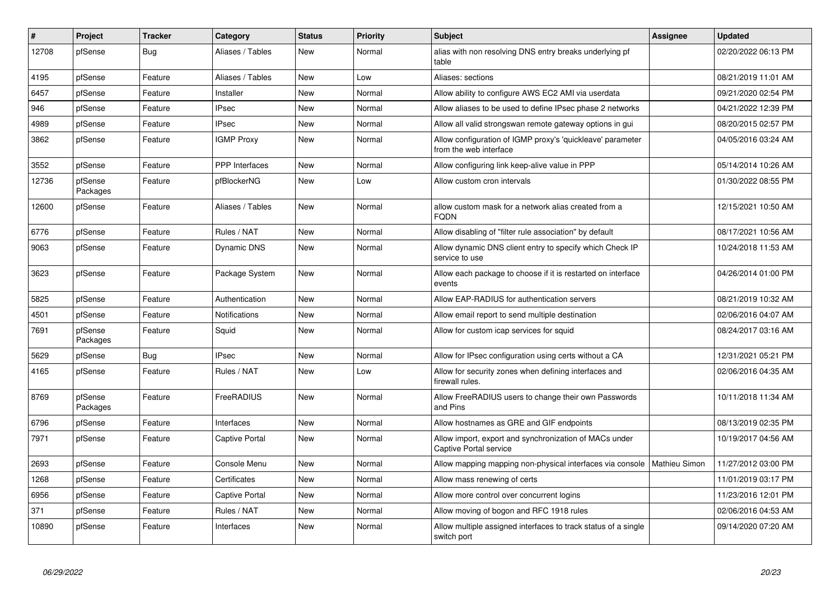| $\sharp$ | Project             | <b>Tracker</b> | Category          | <b>Status</b> | Priority | <b>Subject</b>                                                                       | <b>Assignee</b>      | <b>Updated</b>      |
|----------|---------------------|----------------|-------------------|---------------|----------|--------------------------------------------------------------------------------------|----------------------|---------------------|
| 12708    | pfSense             | <b>Bug</b>     | Aliases / Tables  | New           | Normal   | alias with non resolving DNS entry breaks underlying pf<br>table                     |                      | 02/20/2022 06:13 PM |
| 4195     | pfSense             | Feature        | Aliases / Tables  | New           | Low      | Aliases: sections                                                                    |                      | 08/21/2019 11:01 AM |
| 6457     | pfSense             | Feature        | Installer         | <b>New</b>    | Normal   | Allow ability to configure AWS EC2 AMI via userdata                                  |                      | 09/21/2020 02:54 PM |
| 946      | pfSense             | Feature        | <b>IPsec</b>      | New           | Normal   | Allow aliases to be used to define IPsec phase 2 networks                            |                      | 04/21/2022 12:39 PM |
| 4989     | pfSense             | Feature        | <b>IPsec</b>      | New           | Normal   | Allow all valid strongswan remote gateway options in gui                             |                      | 08/20/2015 02:57 PM |
| 3862     | pfSense             | Feature        | <b>IGMP Proxy</b> | New           | Normal   | Allow configuration of IGMP proxy's 'quickleave' parameter<br>from the web interface |                      | 04/05/2016 03:24 AM |
| 3552     | pfSense             | Feature        | PPP Interfaces    | New           | Normal   | Allow configuring link keep-alive value in PPP                                       |                      | 05/14/2014 10:26 AM |
| 12736    | pfSense<br>Packages | Feature        | pfBlockerNG       | New           | Low      | Allow custom cron intervals                                                          |                      | 01/30/2022 08:55 PM |
| 12600    | pfSense             | Feature        | Aliases / Tables  | <b>New</b>    | Normal   | allow custom mask for a network alias created from a<br><b>FQDN</b>                  |                      | 12/15/2021 10:50 AM |
| 6776     | pfSense             | Feature        | Rules / NAT       | New           | Normal   | Allow disabling of "filter rule association" by default                              |                      | 08/17/2021 10:56 AM |
| 9063     | pfSense             | Feature        | Dynamic DNS       | New           | Normal   | Allow dynamic DNS client entry to specify which Check IP<br>service to use           |                      | 10/24/2018 11:53 AM |
| 3623     | pfSense             | Feature        | Package System    | New           | Normal   | Allow each package to choose if it is restarted on interface<br>events               |                      | 04/26/2014 01:00 PM |
| 5825     | pfSense             | Feature        | Authentication    | New           | Normal   | Allow EAP-RADIUS for authentication servers                                          |                      | 08/21/2019 10:32 AM |
| 4501     | pfSense             | Feature        | Notifications     | New           | Normal   | Allow email report to send multiple destination                                      |                      | 02/06/2016 04:07 AM |
| 7691     | pfSense<br>Packages | Feature        | Squid             | New           | Normal   | Allow for custom icap services for squid                                             |                      | 08/24/2017 03:16 AM |
| 5629     | pfSense             | Bug            | <b>IPsec</b>      | New           | Normal   | Allow for IPsec configuration using certs without a CA                               |                      | 12/31/2021 05:21 PM |
| 4165     | pfSense             | Feature        | Rules / NAT       | New           | Low      | Allow for security zones when defining interfaces and<br>firewall rules.             |                      | 02/06/2016 04:35 AM |
| 8769     | pfSense<br>Packages | Feature        | FreeRADIUS        | New           | Normal   | Allow FreeRADIUS users to change their own Passwords<br>and Pins                     |                      | 10/11/2018 11:34 AM |
| 6796     | pfSense             | Feature        | Interfaces        | New           | Normal   | Allow hostnames as GRE and GIF endpoints                                             |                      | 08/13/2019 02:35 PM |
| 7971     | pfSense             | Feature        | Captive Portal    | New           | Normal   | Allow import, export and synchronization of MACs under<br>Captive Portal service     |                      | 10/19/2017 04:56 AM |
| 2693     | pfSense             | Feature        | Console Menu      | New           | Normal   | Allow mapping mapping non-physical interfaces via console                            | <b>Mathieu Simon</b> | 11/27/2012 03:00 PM |
| 1268     | pfSense             | Feature        | Certificates      | New           | Normal   | Allow mass renewing of certs                                                         |                      | 11/01/2019 03:17 PM |
| 6956     | pfSense             | Feature        | Captive Portal    | New           | Normal   | Allow more control over concurrent logins                                            |                      | 11/23/2016 12:01 PM |
| 371      | pfSense             | Feature        | Rules / NAT       | New           | Normal   | Allow moving of bogon and RFC 1918 rules                                             |                      | 02/06/2016 04:53 AM |
| 10890    | pfSense             | Feature        | Interfaces        | New           | Normal   | Allow multiple assigned interfaces to track status of a single<br>switch port        |                      | 09/14/2020 07:20 AM |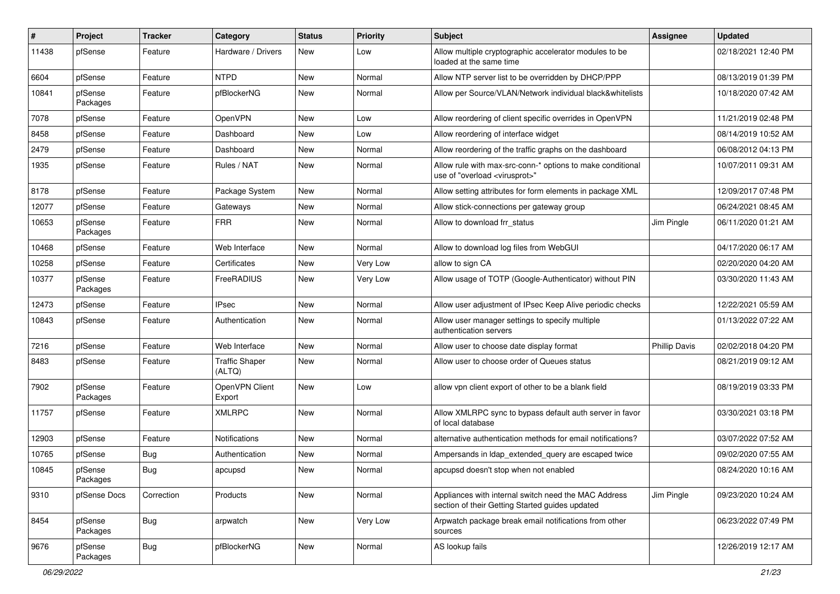| #     | Project             | <b>Tracker</b> | Category                        | <b>Status</b> | <b>Priority</b> | Subject                                                                                                 | Assignee             | <b>Updated</b>      |
|-------|---------------------|----------------|---------------------------------|---------------|-----------------|---------------------------------------------------------------------------------------------------------|----------------------|---------------------|
| 11438 | pfSense             | Feature        | Hardware / Drivers              | New           | Low             | Allow multiple cryptographic accelerator modules to be<br>loaded at the same time                       |                      | 02/18/2021 12:40 PM |
| 6604  | pfSense             | Feature        | <b>NTPD</b>                     | New           | Normal          | Allow NTP server list to be overridden by DHCP/PPP                                                      |                      | 08/13/2019 01:39 PM |
| 10841 | pfSense<br>Packages | Feature        | pfBlockerNG                     | New           | Normal          | Allow per Source/VLAN/Network individual black&whitelists                                               |                      | 10/18/2020 07:42 AM |
| 7078  | pfSense             | Feature        | OpenVPN                         | New           | Low             | Allow reordering of client specific overrides in OpenVPN                                                |                      | 11/21/2019 02:48 PM |
| 8458  | pfSense             | Feature        | Dashboard                       | New           | Low             | Allow reordering of interface widget                                                                    |                      | 08/14/2019 10:52 AM |
| 2479  | pfSense             | Feature        | Dashboard                       | New           | Normal          | Allow reordering of the traffic graphs on the dashboard                                                 |                      | 06/08/2012 04:13 PM |
| 1935  | pfSense             | Feature        | Rules / NAT                     | New           | Normal          | Allow rule with max-src-conn-* options to make conditional<br>use of "overload <virusprot>"</virusprot> |                      | 10/07/2011 09:31 AM |
| 8178  | pfSense             | Feature        | Package System                  | New           | Normal          | Allow setting attributes for form elements in package XML                                               |                      | 12/09/2017 07:48 PM |
| 12077 | pfSense             | Feature        | Gateways                        | New           | Normal          | Allow stick-connections per gateway group                                                               |                      | 06/24/2021 08:45 AM |
| 10653 | pfSense<br>Packages | Feature        | <b>FRR</b>                      | New           | Normal          | Allow to download frr status                                                                            | Jim Pingle           | 06/11/2020 01:21 AM |
| 10468 | pfSense             | Feature        | Web Interface                   | New           | Normal          | Allow to download log files from WebGUI                                                                 |                      | 04/17/2020 06:17 AM |
| 10258 | pfSense             | Feature        | Certificates                    | New           | Very Low        | allow to sign CA                                                                                        |                      | 02/20/2020 04:20 AM |
| 10377 | pfSense<br>Packages | Feature        | FreeRADIUS                      | New           | Very Low        | Allow usage of TOTP (Google-Authenticator) without PIN                                                  |                      | 03/30/2020 11:43 AM |
| 12473 | pfSense             | Feature        | <b>IPsec</b>                    | New           | Normal          | Allow user adjustment of IPsec Keep Alive periodic checks                                               |                      | 12/22/2021 05:59 AM |
| 10843 | pfSense             | Feature        | Authentication                  | New           | Normal          | Allow user manager settings to specify multiple<br>authentication servers                               |                      | 01/13/2022 07:22 AM |
| 7216  | pfSense             | Feature        | Web Interface                   | New           | Normal          | Allow user to choose date display format                                                                | <b>Phillip Davis</b> | 02/02/2018 04:20 PM |
| 8483  | pfSense             | Feature        | <b>Traffic Shaper</b><br>(ALTQ) | New           | Normal          | Allow user to choose order of Queues status                                                             |                      | 08/21/2019 09:12 AM |
| 7902  | pfSense<br>Packages | Feature        | OpenVPN Client<br>Export        | New           | Low             | allow vpn client export of other to be a blank field                                                    |                      | 08/19/2019 03:33 PM |
| 11757 | pfSense             | Feature        | <b>XMLRPC</b>                   | <b>New</b>    | Normal          | Allow XMLRPC sync to bypass default auth server in favor<br>of local database                           |                      | 03/30/2021 03:18 PM |
| 12903 | pfSense             | Feature        | Notifications                   | New           | Normal          | alternative authentication methods for email notifications?                                             |                      | 03/07/2022 07:52 AM |
| 10765 | pfSense             | <b>Bug</b>     | Authentication                  | New           | Normal          | Ampersands in Idap extended query are escaped twice                                                     |                      | 09/02/2020 07:55 AM |
| 10845 | pfSense<br>Packages | <b>Bug</b>     | apcupsd                         | New           | Normal          | apcupsd doesn't stop when not enabled                                                                   |                      | 08/24/2020 10:16 AM |
| 9310  | pfSense Docs        | Correction     | Products                        | <b>New</b>    | Normal          | Appliances with internal switch need the MAC Address<br>section of their Getting Started guides updated | Jim Pingle           | 09/23/2020 10:24 AM |
| 8454  | pfSense<br>Packages | <b>Bug</b>     | arpwatch                        | New           | Very Low        | Arpwatch package break email notifications from other<br>sources                                        |                      | 06/23/2022 07:49 PM |
| 9676  | pfSense<br>Packages | <b>Bug</b>     | pfBlockerNG                     | New           | Normal          | AS lookup fails                                                                                         |                      | 12/26/2019 12:17 AM |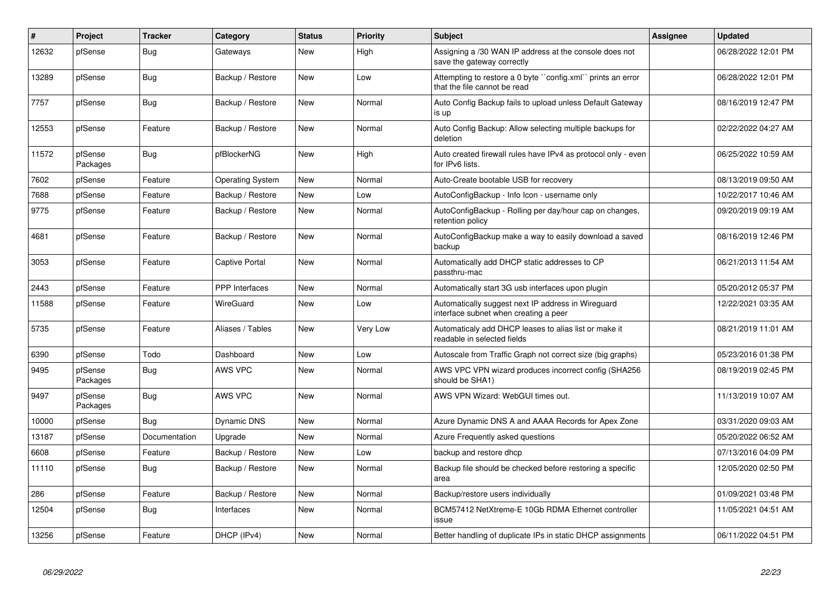| $\vert$ # | Project             | <b>Tracker</b> | Category                | <b>Status</b> | <b>Priority</b> | <b>Subject</b>                                                                              | Assignee | <b>Updated</b>      |
|-----------|---------------------|----------------|-------------------------|---------------|-----------------|---------------------------------------------------------------------------------------------|----------|---------------------|
| 12632     | pfSense             | Bug            | Gateways                | <b>New</b>    | High            | Assigning a /30 WAN IP address at the console does not<br>save the gateway correctly        |          | 06/28/2022 12:01 PM |
| 13289     | pfSense             | Bug            | Backup / Restore        | New           | Low             | Attempting to restore a 0 byte "config.xml" prints an error<br>that the file cannot be read |          | 06/28/2022 12:01 PM |
| 7757      | pfSense             | <b>Bug</b>     | Backup / Restore        | New           | Normal          | Auto Config Backup fails to upload unless Default Gateway<br>is up                          |          | 08/16/2019 12:47 PM |
| 12553     | pfSense             | Feature        | Backup / Restore        | New           | Normal          | Auto Config Backup: Allow selecting multiple backups for<br>deletion                        |          | 02/22/2022 04:27 AM |
| 11572     | pfSense<br>Packages | Bug            | pfBlockerNG             | New           | High            | Auto created firewall rules have IPv4 as protocol only - even<br>for IPv6 lists.            |          | 06/25/2022 10:59 AM |
| 7602      | pfSense             | Feature        | <b>Operating System</b> | <b>New</b>    | Normal          | Auto-Create bootable USB for recovery                                                       |          | 08/13/2019 09:50 AM |
| 7688      | pfSense             | Feature        | Backup / Restore        | New           | Low             | AutoConfigBackup - Info Icon - username only                                                |          | 10/22/2017 10:46 AM |
| 9775      | pfSense             | Feature        | Backup / Restore        | New           | Normal          | AutoConfigBackup - Rolling per day/hour cap on changes,<br>retention policy                 |          | 09/20/2019 09:19 AM |
| 4681      | pfSense             | Feature        | Backup / Restore        | New           | Normal          | AutoConfigBackup make a way to easily download a saved<br>backup                            |          | 08/16/2019 12:46 PM |
| 3053      | pfSense             | Feature        | Captive Portal          | <b>New</b>    | Normal          | Automatically add DHCP static addresses to CP<br>passthru-mac                               |          | 06/21/2013 11:54 AM |
| 2443      | pfSense             | Feature        | <b>PPP</b> Interfaces   | <b>New</b>    | Normal          | Automatically start 3G usb interfaces upon plugin                                           |          | 05/20/2012 05:37 PM |
| 11588     | pfSense             | Feature        | <b>WireGuard</b>        | New           | Low             | Automatically suggest next IP address in Wireguard<br>interface subnet when creating a peer |          | 12/22/2021 03:35 AM |
| 5735      | pfSense             | Feature        | Aliases / Tables        | New           | Very Low        | Automaticaly add DHCP leases to alias list or make it<br>readable in selected fields        |          | 08/21/2019 11:01 AM |
| 6390      | pfSense             | Todo           | Dashboard               | New           | Low             | Autoscale from Traffic Graph not correct size (big graphs)                                  |          | 05/23/2016 01:38 PM |
| 9495      | pfSense<br>Packages | <b>Bug</b>     | AWS VPC                 | New           | Normal          | AWS VPC VPN wizard produces incorrect config (SHA256<br>should be SHA1)                     |          | 08/19/2019 02:45 PM |
| 9497      | pfSense<br>Packages | Bug            | AWS VPC                 | New           | Normal          | AWS VPN Wizard: WebGUI times out.                                                           |          | 11/13/2019 10:07 AM |
| 10000     | pfSense             | Bug            | <b>Dynamic DNS</b>      | New           | Normal          | Azure Dynamic DNS A and AAAA Records for Apex Zone                                          |          | 03/31/2020 09:03 AM |
| 13187     | pfSense             | Documentation  | Upgrade                 | New           | Normal          | Azure Frequently asked questions                                                            |          | 05/20/2022 06:52 AM |
| 6608      | pfSense             | Feature        | Backup / Restore        | New           | Low             | backup and restore dhcp                                                                     |          | 07/13/2016 04:09 PM |
| 11110     | pfSense             | <b>Bug</b>     | Backup / Restore        | New           | Normal          | Backup file should be checked before restoring a specific<br>area                           |          | 12/05/2020 02:50 PM |
| 286       | pfSense             | Feature        | Backup / Restore        | New           | Normal          | Backup/restore users individually                                                           |          | 01/09/2021 03:48 PM |
| 12504     | pfSense             | Bug            | Interfaces              | New           | Normal          | BCM57412 NetXtreme-E 10Gb RDMA Ethernet controller<br>issue                                 |          | 11/05/2021 04:51 AM |
| 13256     | pfSense             | Feature        | DHCP (IPv4)             | New           | Normal          | Better handling of duplicate IPs in static DHCP assignments                                 |          | 06/11/2022 04:51 PM |